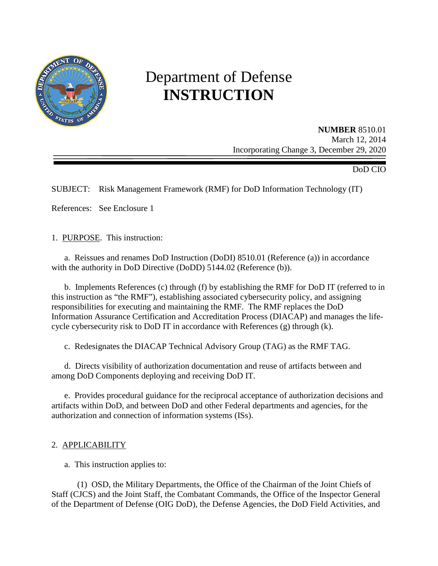

# Department of Defense **INSTRUCTION**

**NUMBER** 8510.01 March 12, 2014 Incorporating Change 3, December 29, 2020

DoD CIO

SUBJECT: Risk Management Framework (RMF) for DoD Information Technology (IT)

References: See Enclosure 1

1. PURPOSE. This instruction:

 a. Reissues and renames DoD Instruction (DoDI) 8510.01 (Reference (a)) in accordance with the authority in DoD Directive (DoDD) 5144.02 (Reference (b)).

 b. Implements References (c) through (f) by establishing the RMF for DoD IT (referred to in this instruction as "the RMF"), establishing associated cybersecurity policy, and assigning responsibilities for executing and maintaining the RMF. The RMF replaces the DoD Information Assurance Certification and Accreditation Process (DIACAP) and manages the lifecycle cybersecurity risk to DoD IT in accordance with References (g) through (k).

c. Redesignates the DIACAP Technical Advisory Group (TAG) as the RMF TAG.

d. Directs visibility of authorization documentation and reuse of artifacts between and among DoD Components deploying and receiving DoD IT.

 e. Provides procedural guidance for the reciprocal acceptance of authorization decisions and artifacts within DoD, and between DoD and other Federal departments and agencies, for the authorization and connection of information systems (ISs).

#### 2. APPLICABILITY

a. This instruction applies to:

 (1) OSD, the Military Departments, the Office of the Chairman of the Joint Chiefs of Staff (CJCS) and the Joint Staff, the Combatant Commands, the Office of the Inspector General of the Department of Defense (OIG DoD), the Defense Agencies, the DoD Field Activities, and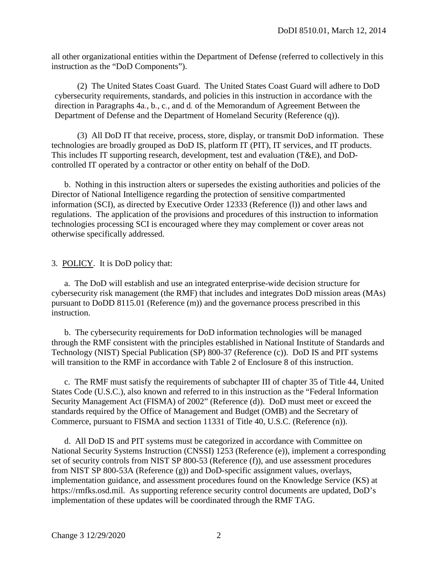all other organizational entities within the Department of Defense (referred to collectively in this instruction as the "DoD Components").

(2) The United States Coast Guard. The United States Coast Guard will adhere to DoD cybersecurity requirements, standards, and policies in this instruction in accordance with the direction in Paragraphs 4a*.*, b*.*, c*.*, and d*.* of the Memorandum of Agreement Between the Department of Defense and the Department of Homeland Security (Reference (q)).

(3) All DoD IT that receive, process, store, display, or transmit DoD information. These technologies are broadly grouped as DoD IS, platform IT (PIT), IT services, and IT products. This includes IT supporting research, development, test and evaluation (T&E), and DoDcontrolled IT operated by a contractor or other entity on behalf of the DoD.

 b. Nothing in this instruction alters or supersedes the existing authorities and policies of the Director of National Intelligence regarding the protection of sensitive compartmented information (SCI), as directed by Executive Order 12333 (Reference (l)) and other laws and regulations. The application of the provisions and procedures of this instruction to information technologies processing SCI is encouraged where they may complement or cover areas not otherwise specifically addressed.

#### 3. POLICY. It is DoD policy that:

a. The DoD will establish and use an integrated enterprise-wide decision structure for cybersecurity risk management (the RMF) that includes and integrates DoD mission areas (MAs) pursuant to DoDD 8115.01 (Reference (m)) and the governance process prescribed in this instruction.

 b. The cybersecurity requirements for DoD information technologies will be managed through the RMF consistent with the principles established in National Institute of Standards and Technology (NIST) Special Publication (SP) 800-37 (Reference (c)). DoD IS and PIT systems will transition to the RMF in accordance with Table 2 of Enclosure 8 of this instruction.

c. The RMF must satisfy the requirements of subchapter III of chapter 35 of Title 44, United States Code (U.S.C.), also known and referred to in this instruction as the "Federal Information Security Management Act (FISMA) of 2002" (Reference (d)). DoD must meet or exceed the standards required by the Office of Management and Budget (OMB) and the Secretary of Commerce, pursuant to FISMA and section 11331 of Title 40, U.S.C. (Reference (n)).

 d. All DoD IS and PIT systems must be categorized in accordance with Committee on National Security Systems Instruction (CNSSI) 1253 (Reference (e)), implement a corresponding set of security controls from NIST SP 800-53 (Reference (f)), and use assessment procedures from NIST SP 800-53A (Reference (g)) and DoD-specific assignment values, overlays, implementation guidance, and assessment procedures found on the Knowledge Service (KS) at https://rmfks.osd.mil. As supporting reference security control documents are updated, DoD's implementation of these updates will be coordinated through the RMF TAG.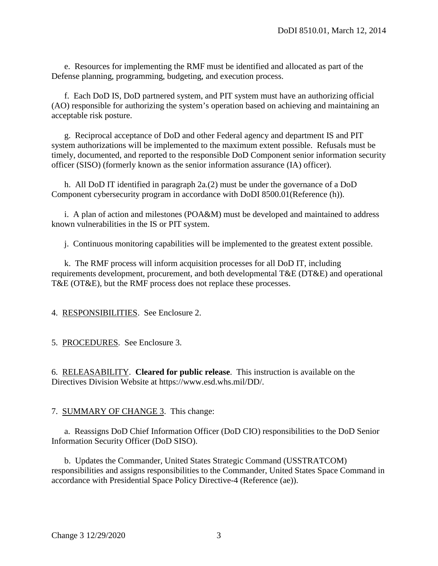e. Resources for implementing the RMF must be identified and allocated as part of the Defense planning, programming, budgeting, and execution process.

 f. Each DoD IS, DoD partnered system, and PIT system must have an authorizing official (AO) responsible for authorizing the system's operation based on achieving and maintaining an acceptable risk posture.

 g. Reciprocal acceptance of DoD and other Federal agency and department IS and PIT system authorizations will be implemented to the maximum extent possible. Refusals must be timely, documented, and reported to the responsible DoD Component senior information security officer (SISO) (formerly known as the senior information assurance (IA) officer).

 h. All DoD IT identified in paragraph 2a*.*(2) must be under the governance of a DoD Component cybersecurity program in accordance with DoDI 8500.01(Reference (h)).

 i. A plan of action and milestones (POA&M) must be developed and maintained to address known vulnerabilities in the IS or PIT system.

j. Continuous monitoring capabilities will be implemented to the greatest extent possible.

 k. The RMF process will inform acquisition processes for all DoD IT, including requirements development, procurement, and both developmental T&E (DT&E) and operational T&E (OT&E), but the RMF process does not replace these processes.

4. RESPONSIBILITIES. See Enclosure 2.

5. PROCEDURES. See Enclosure 3.

6. RELEASABILITY. **Cleared for public release**. This instruction is available on the Directives Division Website at https://www.esd.whs.mil/DD/.

7. SUMMARY OF CHANGE 3. This change:

a. Reassigns DoD Chief Information Officer (DoD CIO) responsibilities to the DoD Senior Information Security Officer (DoD SISO).

b. Updates the Commander, United States Strategic Command (USSTRATCOM) responsibilities and assigns responsibilities to the Commander, United States Space Command in accordance with Presidential Space Policy Directive-4 (Reference (ae)).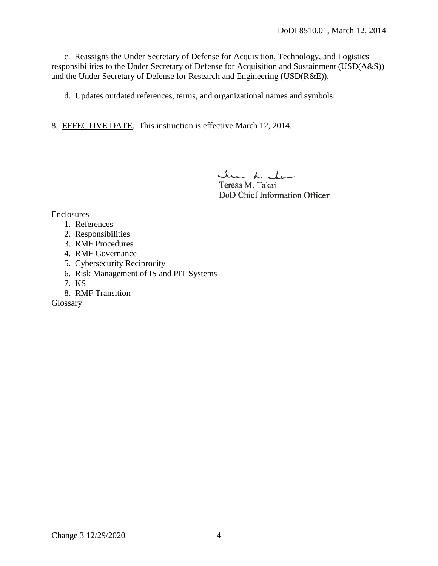c. Reassigns the Under Secretary of Defense for Acquisition, Technology, and Logistics responsibilities to the Under Secretary of Defense for Acquisition and Sustainment (USD(A&S)) and the Under Secretary of Defense for Research and Engineering (USD(R&E)).

d. Updates outdated references, terms, and organizational names and symbols.

8. EFFECTIVE DATE. This instruction is effective March 12, 2014.

June de char

Teresa M. Takai DoD Chief Information Officer

Enclosures

- 1. References
- 2. Responsibilities
- 3. RMF Procedures
- 4. RMF Governance
- 5. Cybersecurity Reciprocity
- 6. Risk Management of IS and PIT Systems
- 7. KS
- 8. RMF Transition

Glossary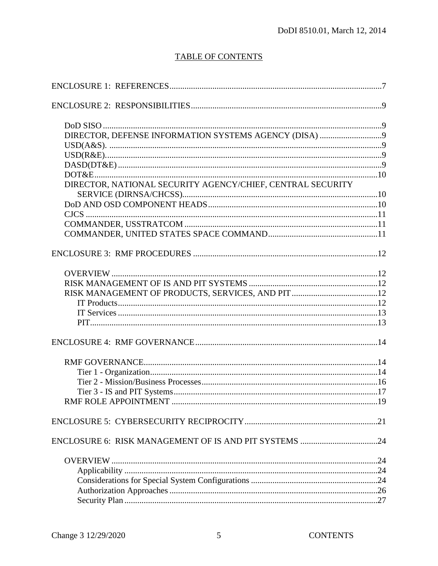# TABLE OF CONTENTS

| DIRECTOR, NATIONAL SECURITY AGENCY/CHIEF, CENTRAL SECURITY |  |
|------------------------------------------------------------|--|
|                                                            |  |
|                                                            |  |
|                                                            |  |
|                                                            |  |
|                                                            |  |
|                                                            |  |
|                                                            |  |
|                                                            |  |
|                                                            |  |
|                                                            |  |
|                                                            |  |
|                                                            |  |
|                                                            |  |
|                                                            |  |
|                                                            |  |
|                                                            |  |
|                                                            |  |
|                                                            |  |
|                                                            |  |
|                                                            |  |
|                                                            |  |
|                                                            |  |
|                                                            |  |
|                                                            |  |
|                                                            |  |
|                                                            |  |
|                                                            |  |
|                                                            |  |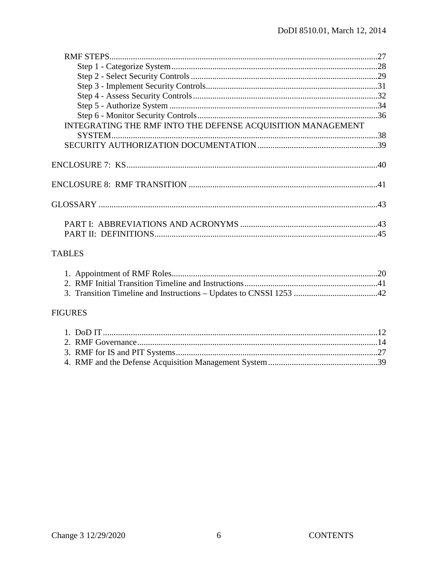| INTEGRATING THE RMF INTO THE DEFENSE ACQUISITION MANAGEMENT |  |
|-------------------------------------------------------------|--|
|                                                             |  |
|                                                             |  |
|                                                             |  |
|                                                             |  |
|                                                             |  |
|                                                             |  |
|                                                             |  |
|                                                             |  |
|                                                             |  |
|                                                             |  |
|                                                             |  |
|                                                             |  |
|                                                             |  |

# **TABLES**

## **FIGURES**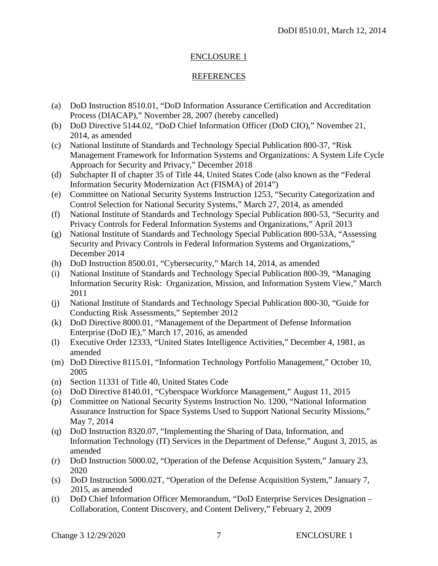#### ENCLOSURE 1

#### REFERENCES

- (a) DoD Instruction 8510.01, "DoD Information Assurance Certification and Accreditation Process (DIACAP)," November 28, 2007 (hereby cancelled)
- (b) DoD Directive 5144.02, "DoD Chief Information Officer (DoD CIO)," November 21, 2014, as amended
- (c) National Institute of Standards and Technology Special Publication 800-37, "Risk Management Framework for Information Systems and Organizations: A System Life Cycle Approach for Security and Privacy," December 2018
- (d) Subchapter II of chapter 35 of Title 44, United States Code (also known as the "Federal Information Security Modernization Act (FISMA) of 2014")
- (e) Committee on National Security Systems Instruction 1253, "Security Categorization and Control Selection for National Security Systems," March 27, 2014, as amended
- (f) National Institute of Standards and Technology Special Publication 800-53, "Security and Privacy Controls for Federal Information Systems and Organizations," April 2013
- (g) National Institute of Standards and Technology Special Publication 800-53A, "Assessing Security and Privacy Controls in Federal Information Systems and Organizations," December 2014
- (h) DoD Instruction 8500.01, "Cybersecurity," March 14, 2014, as amended
- (i) National Institute of Standards and Technology Special Publication 800-39, "Managing Information Security Risk: Organization, Mission, and Information System View," March 2011
- (j) National Institute of Standards and Technology Special Publication 800-30, "Guide for Conducting Risk Assessments," September 2012
- (k) DoD Directive 8000.01, "Management of the Department of Defense Information Enterprise (DoD IE)," March 17, 2016, as amended
- (l) Executive Order 12333, "United States Intelligence Activities," December 4, 1981, as amended
- (m) DoD Directive 8115.01, "Information Technology Portfolio Management," October 10, 2005
- (n) Section 11331 of Title 40, United States Code
- (o) DoD Directive 8140.01, "Cyberspace Workforce Management," August 11, 2015
- (p) Committee on National Security Systems Instruction No. 1200, "National Information Assurance Instruction for Space Systems Used to Support National Security Missions," May 7, 2014
- (q) DoD Instruction 8320.07, "Implementing the Sharing of Data, Information, and Information Technology (IT) Services in the Department of Defense," August 3, 2015, as amended
- (r) DoD Instruction 5000.02, "Operation of the Defense Acquisition System," January 23, 2020
- (s) DoD Instruction 5000.02T, "Operation of the Defense Acquisition System," January 7, 2015, as amended
- (t) DoD Chief Information Officer Memorandum, "DoD Enterprise Services Designation Collaboration, Content Discovery, and Content Delivery," February 2, 2009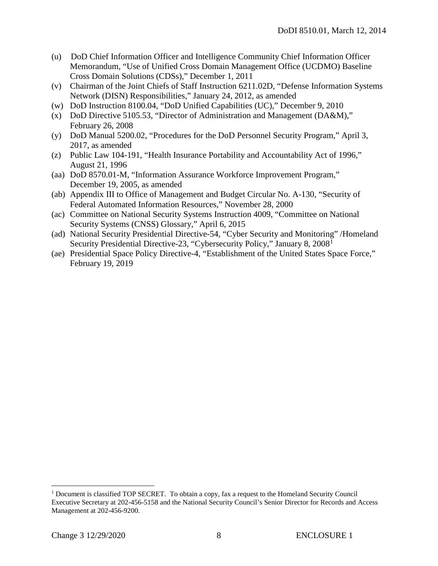- (u) DoD Chief Information Officer and Intelligence Community Chief Information Officer Memorandum, "Use of Unified Cross Domain Management Office (UCDMO) Baseline Cross Domain Solutions (CDSs)," December 1, 2011
- (v) Chairman of the Joint Chiefs of Staff Instruction 6211.02D, "Defense Information Systems Network (DISN) Responsibilities," January 24, 2012, as amended
- (w) DoD Instruction 8100.04, "DoD Unified Capabilities (UC)," December 9, 2010
- (x) DoD Directive 5105.53, "Director of Administration and Management (DA&M)," February 26, 2008
- (y) DoD Manual 5200.02, "Procedures for the DoD Personnel Security Program," April 3, 2017, as amended
- (z) Public Law 104-191, "Health Insurance Portability and Accountability Act of 1996," August 21, 1996
- (aa) DoD 8570.01-M, "Information Assurance Workforce Improvement Program," December 19, 2005, as amended
- (ab) Appendix III to Office of Management and Budget Circular No. A-130, "Security of Federal Automated Information Resources," November 28, 2000
- (ac) Committee on National Security Systems Instruction 4009, "Committee on National Security Systems (CNSS) Glossary," April 6, 2015
- (ad) National Security Presidential Directive-54, "Cyber Security and Monitoring" /Homeland Security Presidential Directive-23, "Cybersecurity Policy," January 8, 2008[1](#page-7-0)
- (ae) Presidential Space Policy Directive-4, "Establishment of the United States Space Force," February 19, 2019

<span id="page-7-0"></span> $1$  Document is classified TOP SECRET. To obtain a copy, fax a request to the Homeland Security Council Executive Secretary at 202-456-5158 and the National Security Council's Senior Director for Records and Access Management at 202-456-9200.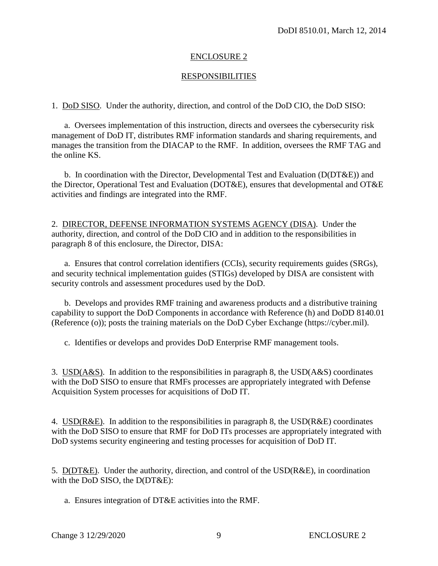#### ENCLOSURE 2

#### RESPONSIBILITIES

1. DoD SISO. Under the authority, direction, and control of the DoD CIO, the DoD SISO:

a. Oversees implementation of this instruction, directs and oversees the cybersecurity risk management of DoD IT, distributes RMF information standards and sharing requirements, and manages the transition from the DIACAP to the RMF. In addition, oversees the RMF TAG and the online KS.

b. In coordination with the Director, Developmental Test and Evaluation (D(DT&E)) and the Director, Operational Test and Evaluation (DOT&E), ensures that developmental and OT&E activities and findings are integrated into the RMF.

2. DIRECTOR, DEFENSE INFORMATION SYSTEMS AGENCY (DISA). Under the authority, direction, and control of the DoD CIO and in addition to the responsibilities in paragraph 8 of this enclosure, the Director, DISA:

a. Ensures that control correlation identifiers (CCIs), security requirements guides (SRGs), and security technical implementation guides (STIGs) developed by DISA are consistent with security controls and assessment procedures used by the DoD.

b. Develops and provides RMF training and awareness products and a distributive training capability to support the DoD Components in accordance with Reference (h) and DoDD 8140.01 (Reference (o)); posts the training materials on the DoD Cyber Exchange (https://cyber.mil).

c. Identifies or develops and provides DoD Enterprise RMF management tools.

3. USD(A&S). In addition to the responsibilities in paragraph 8, the USD(A&S) coordinates with the DoD SISO to ensure that RMFs processes are appropriately integrated with Defense Acquisition System processes for acquisitions of DoD IT.

4. USD(R&E). In addition to the responsibilities in paragraph 8, the USD(R&E) coordinates with the DoD SISO to ensure that RMF for DoD ITs processes are appropriately integrated with DoD systems security engineering and testing processes for acquisition of DoD IT.

5. D(DT&E). Under the authority, direction, and control of the USD(R&E), in coordination with the DoD SISO, the D(DT&E):

a. Ensures integration of DT&E activities into the RMF.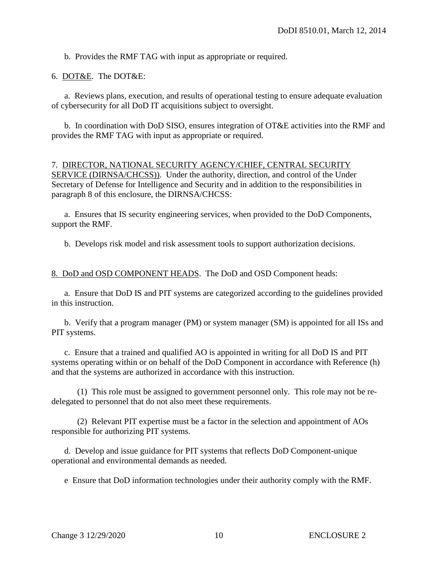b. Provides the RMF TAG with input as appropriate or required.

#### 6. DOT&E. The DOT&E:

a. Reviews plans, execution, and results of operational testing to ensure adequate evaluation of cybersecurity for all DoD IT acquisitions subject to oversight.

b. In coordination with DoD SISO, ensures integration of OT&E activities into the RMF and provides the RMF TAG with input as appropriate or required.

#### 7. DIRECTOR, NATIONAL SECURITY AGENCY/CHIEF, CENTRAL SECURITY

SERVICE (DIRNSA/CHCSS)). Under the authority, direction, and control of the Under Secretary of Defense for Intelligence and Security and in addition to the responsibilities in paragraph 8 of this enclosure, the DIRNSA/CHCSS:

a. Ensures that IS security engineering services, when provided to the DoD Components, support the RMF.

b. Develops risk model and risk assessment tools to support authorization decisions.

#### 8. DoD and OSD COMPONENT HEADS. The DoD and OSD Component heads:

a. Ensure that DoD IS and PIT systems are categorized according to the guidelines provided in this instruction.

b. Verify that a program manager (PM) or system manager (SM) is appointed for all ISs and PIT systems.

c. Ensure that a trained and qualified AO is appointed in writing for all DoD IS and PIT systems operating within or on behalf of the DoD Component in accordance with Reference (h) and that the systems are authorized in accordance with this instruction.

(1) This role must be assigned to government personnel only. This role may not be redelegated to personnel that do not also meet these requirements.

(2) Relevant PIT expertise must be a factor in the selection and appointment of AOs responsible for authorizing PIT systems.

d. Develop and issue guidance for PIT systems that reflects DoD Component-unique operational and environmental demands as needed.

e Ensure that DoD information technologies under their authority comply with the RMF.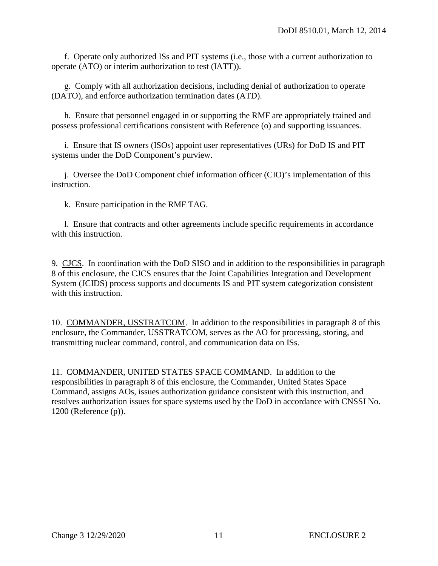f. Operate only authorized ISs and PIT systems (i.e., those with a current authorization to operate (ATO) or interim authorization to test (IATT)).

g. Comply with all authorization decisions, including denial of authorization to operate (DATO), and enforce authorization termination dates (ATD).

h. Ensure that personnel engaged in or supporting the RMF are appropriately trained and possess professional certifications consistent with Reference (o) and supporting issuances.

i. Ensure that IS owners (ISOs) appoint user representatives (URs) for DoD IS and PIT systems under the DoD Component's purview.

j. Oversee the DoD Component chief information officer (CIO)'s implementation of this instruction.

k. Ensure participation in the RMF TAG.

l. Ensure that contracts and other agreements include specific requirements in accordance with this instruction.

9. CJCS. In coordination with the DoD SISO and in addition to the responsibilities in paragraph 8 of this enclosure, the CJCS ensures that the Joint Capabilities Integration and Development System (JCIDS) process supports and documents IS and PIT system categorization consistent with this instruction.

10. COMMANDER, USSTRATCOM. In addition to the responsibilities in paragraph 8 of this enclosure, the Commander, USSTRATCOM, serves as the AO for processing, storing, and transmitting nuclear command, control, and communication data on ISs.

11. COMMANDER, UNITED STATES SPACE COMMAND. In addition to the responsibilities in paragraph 8 of this enclosure, the Commander, United States Space Command, assigns AOs, issues authorization guidance consistent with this instruction, and resolves authorization issues for space systems used by the DoD in accordance with CNSSI No. 1200 (Reference (p)).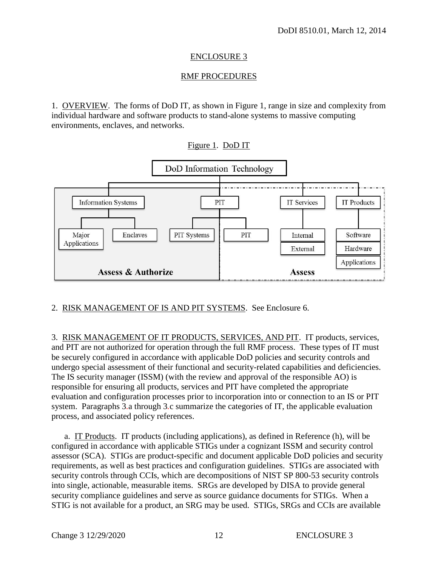#### ENCLOSURE 3

#### RMF PROCEDURES

1. OVERVIEW. The forms of DoD IT, as shown in Figure 1, range in size and complexity from individual hardware and software products to stand-alone systems to massive computing environments, enclaves, and networks.



#### 2. RISK MANAGEMENT OF IS AND PIT SYSTEMS. See Enclosure 6.

3. RISK MANAGEMENT OF IT PRODUCTS, SERVICES, AND PIT. IT products, services, and PIT are not authorized for operation through the full RMF process. These types of IT must be securely configured in accordance with applicable DoD policies and security controls and undergo special assessment of their functional and security-related capabilities and deficiencies. The IS security manager (ISSM) (with the review and approval of the responsible AO) is responsible for ensuring all products, services and PIT have completed the appropriate evaluation and configuration processes prior to incorporation into or connection to an IS or PIT system. Paragraphs 3*.*a through 3*.*c summarize the categories of IT, the applicable evaluation process, and associated policy references.

a. IT Products. IT products (including applications), as defined in Reference (h), will be configured in accordance with applicable STIGs under a cognizant ISSM and security control assessor (SCA). STIGs are product-specific and document applicable DoD policies and security requirements, as well as best practices and configuration guidelines. STIGs are associated with security controls through CCIs, which are decompositions of NIST SP 800-53 security controls into single, actionable, measurable items. SRGs are developed by DISA to provide general security compliance guidelines and serve as source guidance documents for STIGs. When a STIG is not available for a product, an SRG may be used. STIGs, SRGs and CCIs are available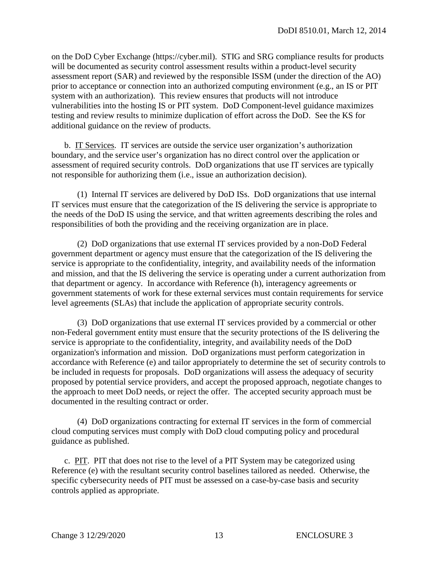on the DoD Cyber Exchange (https://cyber.mil). STIG and SRG compliance results for products will be documented as security control assessment results within a product-level security assessment report (SAR) and reviewed by the responsible ISSM (under the direction of the AO) prior to acceptance or connection into an authorized computing environment (e.g., an IS or PIT system with an authorization). This review ensures that products will not introduce vulnerabilities into the hosting IS or PIT system. DoD Component-level guidance maximizes testing and review results to minimize duplication of effort across the DoD. See the KS for additional guidance on the review of products.

b. IT Services. IT services are outside the service user organization's authorization boundary, and the service user's organization has no direct control over the application or assessment of required security controls. DoD organizations that use IT services are typically not responsible for authorizing them (i.e., issue an authorization decision).

(1) Internal IT services are delivered by DoD ISs. DoD organizations that use internal IT services must ensure that the categorization of the IS delivering the service is appropriate to the needs of the DoD IS using the service, and that written agreements describing the roles and responsibilities of both the providing and the receiving organization are in place.

(2) DoD organizations that use external IT services provided by a non-DoD Federal government department or agency must ensure that the categorization of the IS delivering the service is appropriate to the confidentiality, integrity, and availability needs of the information and mission, and that the IS delivering the service is operating under a current authorization from that department or agency. In accordance with Reference (h), interagency agreements or government statements of work for these external services must contain requirements for service level agreements (SLAs) that include the application of appropriate security controls.

(3) DoD organizations that use external IT services provided by a commercial or other non-Federal government entity must ensure that the security protections of the IS delivering the service is appropriate to the confidentiality, integrity, and availability needs of the DoD organization's information and mission. DoD organizations must perform categorization in accordance with Reference (e) and tailor appropriately to determine the set of security controls to be included in requests for proposals. DoD organizations will assess the adequacy of security proposed by potential service providers, and accept the proposed approach, negotiate changes to the approach to meet DoD needs, or reject the offer. The accepted security approach must be documented in the resulting contract or order.

(4) DoD organizations contracting for external IT services in the form of commercial cloud computing services must comply with DoD cloud computing policy and procedural guidance as published.

c. PIT. PIT that does not rise to the level of a PIT System may be categorized using Reference (e) with the resultant security control baselines tailored as needed. Otherwise, the specific cybersecurity needs of PIT must be assessed on a case-by-case basis and security controls applied as appropriate.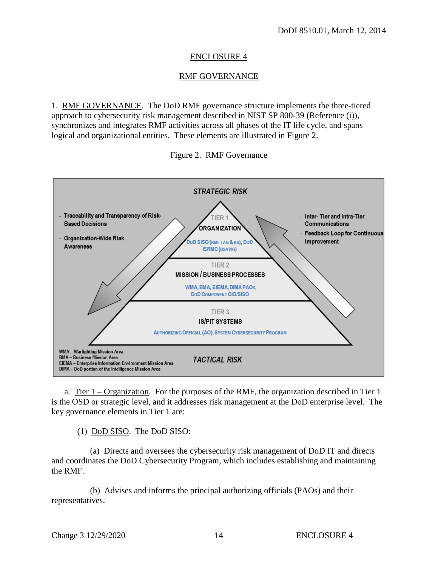#### ENCLOSURE 4

#### RMF GOVERNANCE

1. RMF GOVERNANCE. The DoD RMF governance structure implements the three-tiered approach to cybersecurity risk management described in NIST SP 800-39 (Reference (i)), synchronizes and integrates RMF activities across all phases of the IT life cycle, and spans logical and organizational entities. These elements are illustrated in Figure 2.





a. Tier 1 – Organization. For the purposes of the RMF, the organization described in Tier 1 is the OSD or strategic level, and it addresses risk management at the DoD enterprise level. The key governance elements in Tier 1 are:

(1) DoD SISO. The DoD SISO:

(a) Directs and oversees the cybersecurity risk management of DoD IT and directs and coordinates the DoD Cybersecurity Program, which includes establishing and maintaining the RMF.

(b) Advises and informs the principal authorizing officials (PAOs) and their representatives.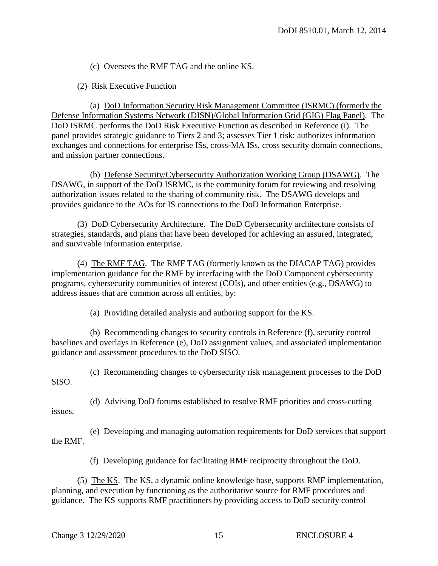(c) Oversees the RMF TAG and the online KS.

(2) Risk Executive Function

 (a) DoD Information Security Risk Management Committee (ISRMC) (formerly the Defense Information Systems Network (DISN)/Global Information Grid (GIG) Flag Panel). The DoD ISRMC performs the DoD Risk Executive Function as described in Reference (i). The panel provides strategic guidance to Tiers 2 and 3; assesses Tier 1 risk; authorizes information exchanges and connections for enterprise ISs, cross-MA ISs, cross security domain connections, and mission partner connections.

 (b) Defense Security/Cybersecurity Authorization Working Group (DSAWG). The DSAWG, in support of the DoD ISRMC, is the community forum for reviewing and resolving authorization issues related to the sharing of community risk. The DSAWG develops and provides guidance to the AOs for IS connections to the DoD Information Enterprise.

(3) DoD Cybersecurity Architecture. The DoD Cybersecurity architecture consists of strategies, standards, and plans that have been developed for achieving an assured, integrated, and survivable information enterprise.

 (4) The RMF TAG. The RMF TAG (formerly known as the DIACAP TAG) provides implementation guidance for the RMF by interfacing with the DoD Component cybersecurity programs, cybersecurity communities of interest (COIs), and other entities (e.g., DSAWG) to address issues that are common across all entities, by:

(a) Providing detailed analysis and authoring support for the KS.

 (b) Recommending changes to security controls in Reference (f), security control baselines and overlays in Reference (e), DoD assignment values, and associated implementation guidance and assessment procedures to the DoD SISO.

 (c) Recommending changes to cybersecurity risk management processes to the DoD SISO.

 (d) Advising DoD forums established to resolve RMF priorities and cross-cutting issues.

 (e) Developing and managing automation requirements for DoD services that support the RMF.

(f) Developing guidance for facilitating RMF reciprocity throughout the DoD.

 (5) The KS. The KS, a dynamic online knowledge base, supports RMF implementation, planning, and execution by functioning as the authoritative source for RMF procedures and guidance. The KS supports RMF practitioners by providing access to DoD security control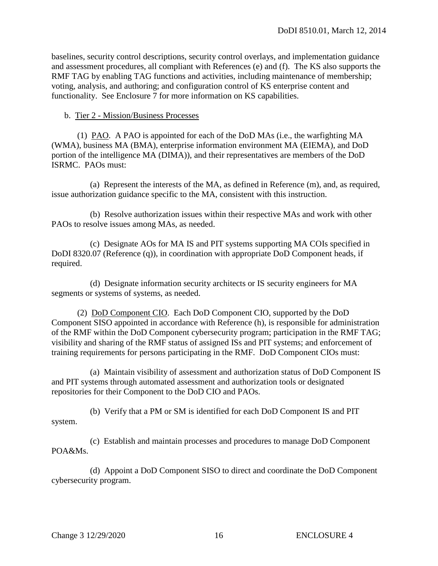baselines, security control descriptions, security control overlays, and implementation guidance and assessment procedures, all compliant with References (e) and (f). The KS also supports the RMF TAG by enabling TAG functions and activities, including maintenance of membership; voting, analysis, and authoring; and configuration control of KS enterprise content and functionality. See Enclosure 7 for more information on KS capabilities.

#### b. Tier 2 - Mission/Business Processes

 (1) PAO. A PAO is appointed for each of the DoD MAs (i.e., the warfighting MA (WMA), business MA (BMA), enterprise information environment MA (EIEMA), and DoD portion of the intelligence MA (DIMA)), and their representatives are members of the DoD ISRMC. PAOs must:

 (a) Represent the interests of the MA, as defined in Reference (m), and, as required, issue authorization guidance specific to the MA, consistent with this instruction.

 (b) Resolve authorization issues within their respective MAs and work with other PAOs to resolve issues among MAs, as needed.

 (c) Designate AOs for MA IS and PIT systems supporting MA COIs specified in DoDI 8320.07 (Reference (q)), in coordination with appropriate DoD Component heads, if required.

 (d) Designate information security architects or IS security engineers for MA segments or systems of systems, as needed.

 (2) DoD Component CIO. Each DoD Component CIO, supported by the DoD Component SISO appointed in accordance with Reference (h), is responsible for administration of the RMF within the DoD Component cybersecurity program; participation in the RMF TAG; visibility and sharing of the RMF status of assigned ISs and PIT systems; and enforcement of training requirements for persons participating in the RMF. DoD Component CIOs must:

 (a) Maintain visibility of assessment and authorization status of DoD Component IS and PIT systems through automated assessment and authorization tools or designated repositories for their Component to the DoD CIO and PAOs.

 (b) Verify that a PM or SM is identified for each DoD Component IS and PIT system.

 (c) Establish and maintain processes and procedures to manage DoD Component POA&Ms.

 (d) Appoint a DoD Component SISO to direct and coordinate the DoD Component cybersecurity program.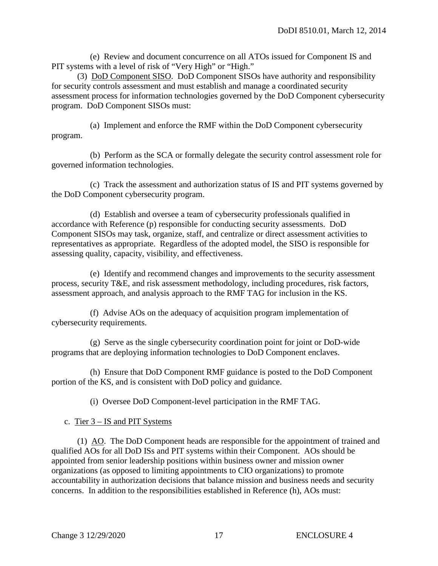(e) Review and document concurrence on all ATOs issued for Component IS and PIT systems with a level of risk of "Very High" or "High."

 (3) DoD Component SISO. DoD Component SISOs have authority and responsibility for security controls assessment and must establish and manage a coordinated security assessment process for information technologies governed by the DoD Component cybersecurity program. DoD Component SISOs must:

 (a) Implement and enforce the RMF within the DoD Component cybersecurity program.

 (b) Perform as the SCA or formally delegate the security control assessment role for governed information technologies.

 (c) Track the assessment and authorization status of IS and PIT systems governed by the DoD Component cybersecurity program.

 (d) Establish and oversee a team of cybersecurity professionals qualified in accordance with Reference (p) responsible for conducting security assessments. DoD Component SISOs may task, organize, staff, and centralize or direct assessment activities to representatives as appropriate. Regardless of the adopted model, the SISO is responsible for assessing quality, capacity, visibility, and effectiveness.

 (e) Identify and recommend changes and improvements to the security assessment process, security T&E, and risk assessment methodology, including procedures, risk factors, assessment approach, and analysis approach to the RMF TAG for inclusion in the KS.

 (f) Advise AOs on the adequacy of acquisition program implementation of cybersecurity requirements.

 (g) Serve as the single cybersecurity coordination point for joint or DoD-wide programs that are deploying information technologies to DoD Component enclaves.

 (h) Ensure that DoD Component RMF guidance is posted to the DoD Component portion of the KS, and is consistent with DoD policy and guidance.

(i) Oversee DoD Component-level participation in the RMF TAG.

c. Tier 3 – IS and PIT Systems

 (1) AO. The DoD Component heads are responsible for the appointment of trained and qualified AOs for all DoD ISs and PIT systems within their Component. AOs should be appointed from senior leadership positions within business owner and mission owner organizations (as opposed to limiting appointments to CIO organizations) to promote accountability in authorization decisions that balance mission and business needs and security concerns. In addition to the responsibilities established in Reference (h), AOs must: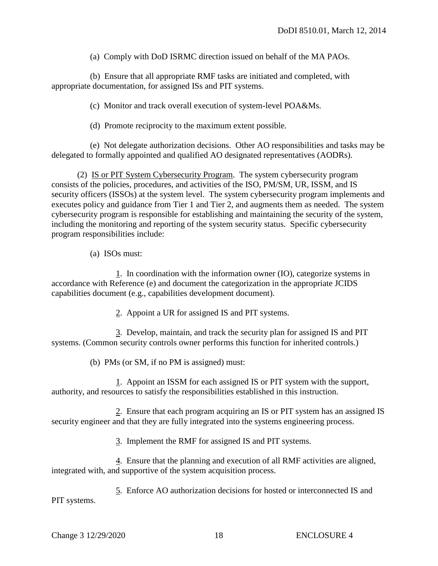(a) Comply with DoD ISRMC direction issued on behalf of the MA PAOs.

 (b) Ensure that all appropriate RMF tasks are initiated and completed, with appropriate documentation, for assigned ISs and PIT systems.

(c) Monitor and track overall execution of system-level POA&Ms.

(d) Promote reciprocity to the maximum extent possible.

 (e) Not delegate authorization decisions. Other AO responsibilities and tasks may be delegated to formally appointed and qualified AO designated representatives (AODRs).

 (2) IS or PIT System Cybersecurity Program. The system cybersecurity program consists of the policies, procedures, and activities of the ISO, PM/SM, UR, ISSM, and IS security officers (ISSOs) at the system level. The system cybersecurity program implements and executes policy and guidance from Tier 1 and Tier 2, and augments them as needed. The system cybersecurity program is responsible for establishing and maintaining the security of the system, including the monitoring and reporting of the system security status. Specific cybersecurity program responsibilities include:

(a) ISOs must:

1. In coordination with the information owner (IO), categorize systems in accordance with Reference (e) and document the categorization in the appropriate JCIDS capabilities document (e.g., capabilities development document).

2. Appoint a UR for assigned IS and PIT systems.

3. Develop, maintain, and track the security plan for assigned IS and PIT systems. (Common security controls owner performs this function for inherited controls.)

(b) PMs (or SM, if no PM is assigned) must:

1. Appoint an ISSM for each assigned IS or PIT system with the support, authority, and resources to satisfy the responsibilities established in this instruction.

 2. Ensure that each program acquiring an IS or PIT system has an assigned IS security engineer and that they are fully integrated into the systems engineering process.

3. Implement the RMF for assigned IS and PIT systems.

 4. Ensure that the planning and execution of all RMF activities are aligned, integrated with, and supportive of the system acquisition process.

5. Enforce AO authorization decisions for hosted or interconnected IS and PIT systems.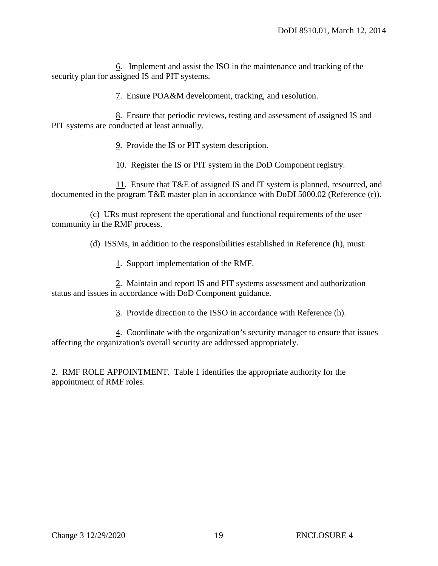6. Implement and assist the ISO in the maintenance and tracking of the security plan for assigned IS and PIT systems.

7. Ensure POA&M development, tracking, and resolution.

 8. Ensure that periodic reviews, testing and assessment of assigned IS and PIT systems are conducted at least annually.

9. Provide the IS or PIT system description.

10. Register the IS or PIT system in the DoD Component registry.

 11. Ensure that T&E of assigned IS and IT system is planned, resourced, and documented in the program T&E master plan in accordance with DoDI 5000.02 (Reference (r)).

 (c) URs must represent the operational and functional requirements of the user community in the RMF process.

(d) ISSMs, in addition to the responsibilities established in Reference (h), must:

1. Support implementation of the RMF.

 2. Maintain and report IS and PIT systems assessment and authorization status and issues in accordance with DoD Component guidance.

3. Provide direction to the ISSO in accordance with Reference (h).

 4. Coordinate with the organization's security manager to ensure that issues affecting the organization's overall security are addressed appropriately.

2. RMF ROLE APPOINTMENT. Table 1 identifies the appropriate authority for the appointment of RMF roles.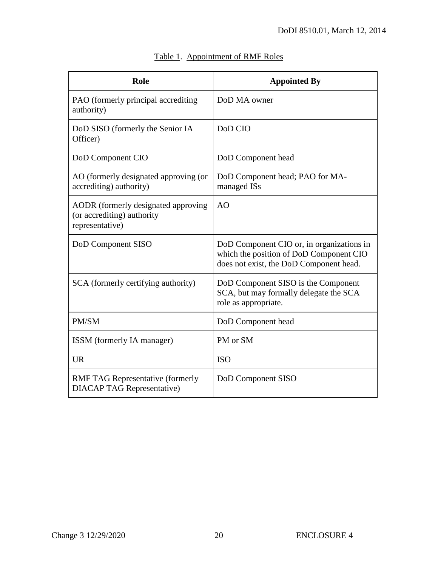| Role                                                                                 | <b>Appointed By</b>                                                                                                             |
|--------------------------------------------------------------------------------------|---------------------------------------------------------------------------------------------------------------------------------|
| PAO (formerly principal accrediting<br>authority)                                    | DoD MA owner                                                                                                                    |
| DoD SISO (formerly the Senior IA<br>Officer)                                         | DoD CIO                                                                                                                         |
| DoD Component CIO                                                                    | DoD Component head                                                                                                              |
| AO (formerly designated approving (or<br>accrediting) authority)                     | DoD Component head; PAO for MA-<br>managed ISs                                                                                  |
| AODR (formerly designated approving<br>(or accrediting) authority<br>representative) | AO                                                                                                                              |
| DoD Component SISO                                                                   | DoD Component CIO or, in organizations in<br>which the position of DoD Component CIO<br>does not exist, the DoD Component head. |
| SCA (formerly certifying authority)                                                  | DoD Component SISO is the Component<br>SCA, but may formally delegate the SCA<br>role as appropriate.                           |
| PM/SM                                                                                | DoD Component head                                                                                                              |
| ISSM (formerly IA manager)                                                           | PM or SM                                                                                                                        |
| <b>UR</b>                                                                            | <b>ISO</b>                                                                                                                      |
| <b>RMF TAG Representative (formerly</b><br><b>DIACAP TAG Representative)</b>         | DoD Component SISO                                                                                                              |

# Table 1. Appointment of RMF Roles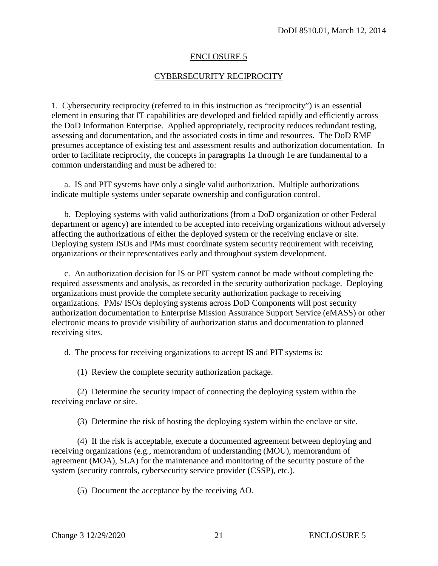#### ENCLOSURE 5

#### CYBERSECURITY RECIPROCITY

1. Cybersecurity reciprocity (referred to in this instruction as "reciprocity") is an essential element in ensuring that IT capabilities are developed and fielded rapidly and efficiently across the DoD Information Enterprise. Applied appropriately, reciprocity reduces redundant testing, assessing and documentation, and the associated costs in time and resources. The DoD RMF presumes acceptance of existing test and assessment results and authorization documentation. In order to facilitate reciprocity, the concepts in paragraphs 1a through 1e are fundamental to a common understanding and must be adhered to:

a. IS and PIT systems have only a single valid authorization. Multiple authorizations indicate multiple systems under separate ownership and configuration control.

b. Deploying systems with valid authorizations (from a DoD organization or other Federal department or agency) are intended to be accepted into receiving organizations without adversely affecting the authorizations of either the deployed system or the receiving enclave or site. Deploying system ISOs and PMs must coordinate system security requirement with receiving organizations or their representatives early and throughout system development.

 c. An authorization decision for IS or PIT system cannot be made without completing the required assessments and analysis, as recorded in the security authorization package. Deploying organizations must provide the complete security authorization package to receiving organizations. PMs/ ISOs deploying systems across DoD Components will post security authorization documentation to Enterprise Mission Assurance Support Service (eMASS) or other electronic means to provide visibility of authorization status and documentation to planned receiving sites.

d. The process for receiving organizations to accept IS and PIT systems is:

(1) Review the complete security authorization package.

 (2) Determine the security impact of connecting the deploying system within the receiving enclave or site.

(3) Determine the risk of hosting the deploying system within the enclave or site.

 (4) If the risk is acceptable, execute a documented agreement between deploying and receiving organizations (e.g., memorandum of understanding (MOU), memorandum of agreement (MOA), SLA) for the maintenance and monitoring of the security posture of the system (security controls, cybersecurity service provider (CSSP), etc.).

(5) Document the acceptance by the receiving AO.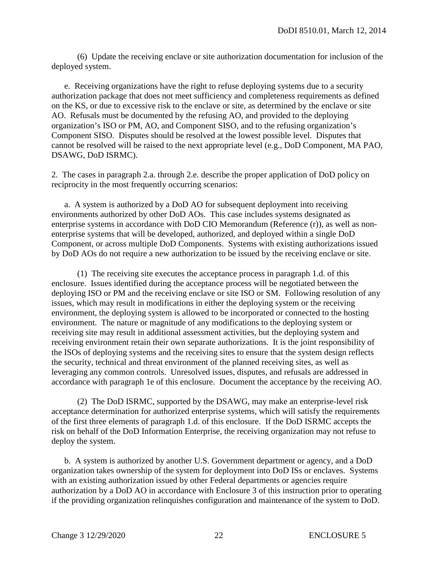(6) Update the receiving enclave or site authorization documentation for inclusion of the deployed system.

e. Receiving organizations have the right to refuse deploying systems due to a security authorization package that does not meet sufficiency and completeness requirements as defined on the KS, or due to excessive risk to the enclave or site, as determined by the enclave or site AO. Refusals must be documented by the refusing AO, and provided to the deploying organization's ISO or PM, AO, and Component SISO, and to the refusing organization's Component SISO. Disputes should be resolved at the lowest possible level. Disputes that cannot be resolved will be raised to the next appropriate level (e.g., DoD Component, MA PAO, DSAWG, DoD ISRMC).

2. The cases in paragraph 2.a. through 2.e. describe the proper application of DoD policy on reciprocity in the most frequently occurring scenarios:

a. A system is authorized by a DoD AO for subsequent deployment into receiving environments authorized by other DoD AOs. This case includes systems designated as enterprise systems in accordance with DoD CIO Memorandum (Reference (r)), as well as nonenterprise systems that will be developed, authorized, and deployed within a single DoD Component, or across multiple DoD Components. Systems with existing authorizations issued by DoD AOs do not require a new authorization to be issued by the receiving enclave or site.

 (1) The receiving site executes the acceptance process in paragraph 1.d. of this enclosure. Issues identified during the acceptance process will be negotiated between the deploying ISO or PM and the receiving enclave or site ISO or SM. Following resolution of any issues, which may result in modifications in either the deploying system or the receiving environment, the deploying system is allowed to be incorporated or connected to the hosting environment. The nature or magnitude of any modifications to the deploying system or receiving site may result in additional assessment activities, but the deploying system and receiving environment retain their own separate authorizations. It is the joint responsibility of the ISOs of deploying systems and the receiving sites to ensure that the system design reflects the security, technical and threat environment of the planned receiving sites, as well as leveraging any common controls. Unresolved issues, disputes, and refusals are addressed in accordance with paragraph 1e of this enclosure. Document the acceptance by the receiving AO.

 (2) The DoD ISRMC, supported by the DSAWG, may make an enterprise-level risk acceptance determination for authorized enterprise systems, which will satisfy the requirements of the first three elements of paragraph 1.d. of this enclosure. If the DoD ISRMC accepts the risk on behalf of the DoD Information Enterprise, the receiving organization may not refuse to deploy the system.

 b. A system is authorized by another U.S. Government department or agency, and a DoD organization takes ownership of the system for deployment into DoD ISs or enclaves. Systems with an existing authorization issued by other Federal departments or agencies require authorization by a DoD AO in accordance with Enclosure 3 of this instruction prior to operating if the providing organization relinquishes configuration and maintenance of the system to DoD.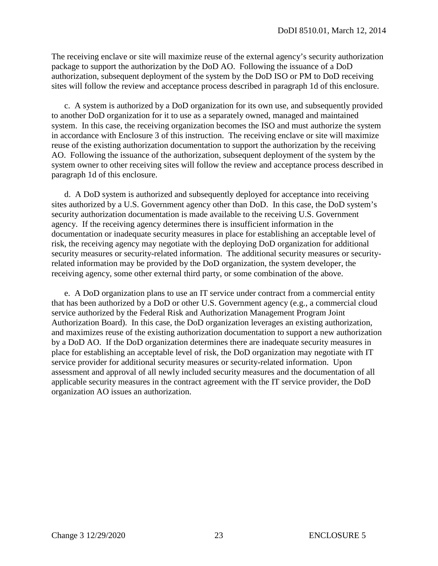The receiving enclave or site will maximize reuse of the external agency's security authorization package to support the authorization by the DoD AO. Following the issuance of a DoD authorization, subsequent deployment of the system by the DoD ISO or PM to DoD receiving sites will follow the review and acceptance process described in paragraph 1d of this enclosure.

c. A system is authorized by a DoD organization for its own use, and subsequently provided to another DoD organization for it to use as a separately owned, managed and maintained system. In this case, the receiving organization becomes the ISO and must authorize the system in accordance with Enclosure 3 of this instruction. The receiving enclave or site will maximize reuse of the existing authorization documentation to support the authorization by the receiving AO. Following the issuance of the authorization, subsequent deployment of the system by the system owner to other receiving sites will follow the review and acceptance process described in paragraph 1d of this enclosure.

 d. A DoD system is authorized and subsequently deployed for acceptance into receiving sites authorized by a U.S. Government agency other than DoD. In this case, the DoD system's security authorization documentation is made available to the receiving U.S. Government agency. If the receiving agency determines there is insufficient information in the documentation or inadequate security measures in place for establishing an acceptable level of risk, the receiving agency may negotiate with the deploying DoD organization for additional security measures or security-related information. The additional security measures or securityrelated information may be provided by the DoD organization, the system developer, the receiving agency, some other external third party, or some combination of the above.

 e. A DoD organization plans to use an IT service under contract from a commercial entity that has been authorized by a DoD or other U.S. Government agency (e.g., a commercial cloud service authorized by the Federal Risk and Authorization Management Program Joint Authorization Board). In this case, the DoD organization leverages an existing authorization, and maximizes reuse of the existing authorization documentation to support a new authorization by a DoD AO. If the DoD organization determines there are inadequate security measures in place for establishing an acceptable level of risk, the DoD organization may negotiate with IT service provider for additional security measures or security-related information. Upon assessment and approval of all newly included security measures and the documentation of all applicable security measures in the contract agreement with the IT service provider, the DoD organization AO issues an authorization.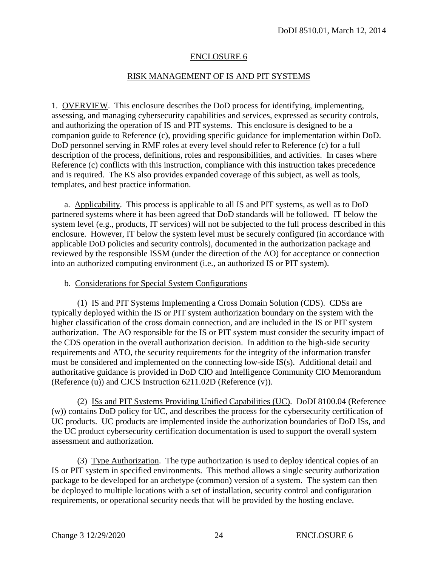#### ENCLOSURE 6

#### RISK MANAGEMENT OF IS AND PIT SYSTEMS

1. OVERVIEW. This enclosure describes the DoD process for identifying, implementing, assessing, and managing cybersecurity capabilities and services, expressed as security controls, and authorizing the operation of IS and PIT systems. This enclosure is designed to be a companion guide to Reference (c), providing specific guidance for implementation within DoD. DoD personnel serving in RMF roles at every level should refer to Reference (c) for a full description of the process, definitions, roles and responsibilities, and activities. In cases where Reference (c) conflicts with this instruction, compliance with this instruction takes precedence and is required. The KS also provides expanded coverage of this subject, as well as tools, templates, and best practice information.

a. Applicability. This process is applicable to all IS and PIT systems, as well as to DoD partnered systems where it has been agreed that DoD standards will be followed. IT below the system level (e.g., products, IT services) will not be subjected to the full process described in this enclosure. However, IT below the system level must be securely configured (in accordance with applicable DoD policies and security controls), documented in the authorization package and reviewed by the responsible ISSM (under the direction of the AO) for acceptance or connection into an authorized computing environment (i.e., an authorized IS or PIT system).

#### b. Considerations for Special System Configurations

 (1) IS and PIT Systems Implementing a Cross Domain Solution (CDS). CDSs are typically deployed within the IS or PIT system authorization boundary on the system with the higher classification of the cross domain connection, and are included in the IS or PIT system authorization. The AO responsible for the IS or PIT system must consider the security impact of the CDS operation in the overall authorization decision. In addition to the high-side security requirements and ATO, the security requirements for the integrity of the information transfer must be considered and implemented on the connecting low-side IS(s). Additional detail and authoritative guidance is provided in DoD CIO and Intelligence Community CIO Memorandum (Reference (u)) and CJCS Instruction 6211.02D (Reference (v)).

 (2) ISs and PIT Systems Providing Unified Capabilities (UC). DoDI 8100.04 (Reference (w)) contains DoD policy for UC, and describes the process for the cybersecurity certification of UC products. UC products are implemented inside the authorization boundaries of DoD ISs, and the UC product cybersecurity certification documentation is used to support the overall system assessment and authorization.

 (3) Type Authorization. The type authorization is used to deploy identical copies of an IS or PIT system in specified environments. This method allows a single security authorization package to be developed for an archetype (common) version of a system. The system can then be deployed to multiple locations with a set of installation, security control and configuration requirements, or operational security needs that will be provided by the hosting enclave.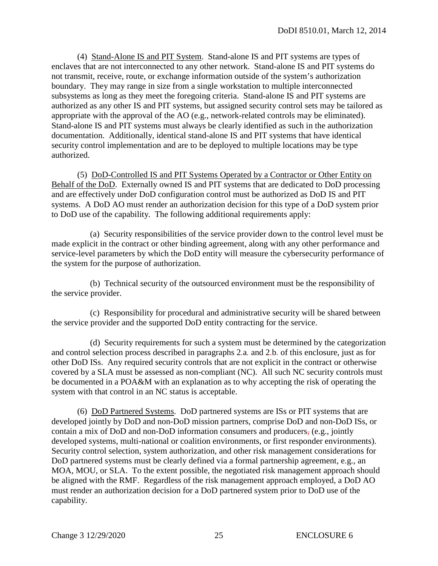(4) Stand-Alone IS and PIT System. Stand-alone IS and PIT systems are types of enclaves that are not interconnected to any other network. Stand-alone IS and PIT systems do not transmit, receive, route, or exchange information outside of the system's authorization boundary. They may range in size from a single workstation to multiple interconnected subsystems as long as they meet the foregoing criteria. Stand-alone IS and PIT systems are authorized as any other IS and PIT systems, but assigned security control sets may be tailored as appropriate with the approval of the AO (e.g., network-related controls may be eliminated). Stand-alone IS and PIT systems must always be clearly identified as such in the authorization documentation. Additionally, identical stand-alone IS and PIT systems that have identical security control implementation and are to be deployed to multiple locations may be type authorized.

 (5) DoD-Controlled IS and PIT Systems Operated by a Contractor or Other Entity on Behalf of the DoD. Externally owned IS and PIT systems that are dedicated to DoD processing and are effectively under DoD configuration control must be authorized as DoD IS and PIT systems. A DoD AO must render an authorization decision for this type of a DoD system prior to DoD use of the capability. The following additional requirements apply:

 (a) Security responsibilities of the service provider down to the control level must be made explicit in the contract or other binding agreement, along with any other performance and service-level parameters by which the DoD entity will measure the cybersecurity performance of the system for the purpose of authorization.

 (b) Technical security of the outsourced environment must be the responsibility of the service provider.

 (c) Responsibility for procedural and administrative security will be shared between the service provider and the supported DoD entity contracting for the service.

 (d) Security requirements for such a system must be determined by the categorization and control selection process described in paragraphs 2*.*a*.* and 2*.*b*.* of this enclosure, just as for other DoD ISs. Any required security controls that are not explicit in the contract or otherwise covered by a SLA must be assessed as non-compliant (NC). All such NC security controls must be documented in a POA&M with an explanation as to why accepting the risk of operating the system with that control in an NC status is acceptable.

 (6) DoD Partnered Systems. DoD partnered systems are ISs or PIT systems that are developed jointly by DoD and non-DoD mission partners, comprise DoD and non-DoD ISs, or contain a mix of DoD and non-DoD information consumers and producers, (e.g., jointly developed systems, multi-national or coalition environments, or first responder environments). Security control selection, system authorization, and other risk management considerations for DoD partnered systems must be clearly defined via a formal partnership agreement, e.g., an MOA, MOU, or SLA. To the extent possible, the negotiated risk management approach should be aligned with the RMF. Regardless of the risk management approach employed, a DoD AO must render an authorization decision for a DoD partnered system prior to DoD use of the capability.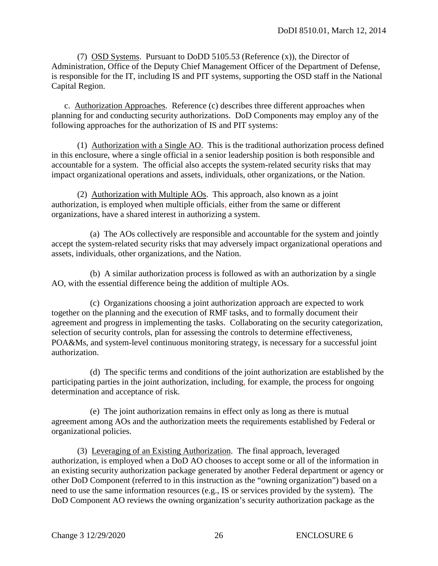(7) OSD Systems. Pursuant to DoDD 5105.53 (Reference (x)), the Director of Administration, Office of the Deputy Chief Management Officer of the Department of Defense, is responsible for the IT, including IS and PIT systems, supporting the OSD staff in the National Capital Region.

c. Authorization Approaches. Reference (c) describes three different approaches when planning for and conducting security authorizations. DoD Components may employ any of the following approaches for the authorization of IS and PIT systems:

 (1) Authorization with a Single AO. This is the traditional authorization process defined in this enclosure, where a single official in a senior leadership position is both responsible and accountable for a system. The official also accepts the system-related security risks that may impact organizational operations and assets, individuals, other organizations, or the Nation.

 (2) Authorization with Multiple AOs. This approach, also known as a joint authorization, is employed when multiple officials*,* either from the same or different organizations, have a shared interest in authorizing a system.

 (a) The AOs collectively are responsible and accountable for the system and jointly accept the system-related security risks that may adversely impact organizational operations and assets, individuals, other organizations, and the Nation.

 (b) A similar authorization process is followed as with an authorization by a single AO, with the essential difference being the addition of multiple AOs.

 (c) Organizations choosing a joint authorization approach are expected to work together on the planning and the execution of RMF tasks, and to formally document their agreement and progress in implementing the tasks. Collaborating on the security categorization, selection of security controls, plan for assessing the controls to determine effectiveness, POA&Ms, and system-level continuous monitoring strategy, is necessary for a successful joint authorization.

 (d) The specific terms and conditions of the joint authorization are established by the participating parties in the joint authorization, including*,* for example, the process for ongoing determination and acceptance of risk.

 (e) The joint authorization remains in effect only as long as there is mutual agreement among AOs and the authorization meets the requirements established by Federal or organizational policies.

 (3) Leveraging of an Existing Authorization. The final approach, leveraged authorization, is employed when a DoD AO chooses to accept some or all of the information in an existing security authorization package generated by another Federal department or agency or other DoD Component (referred to in this instruction as the "owning organization") based on a need to use the same information resources (e.g., IS or services provided by the system). The DoD Component AO reviews the owning organization's security authorization package as the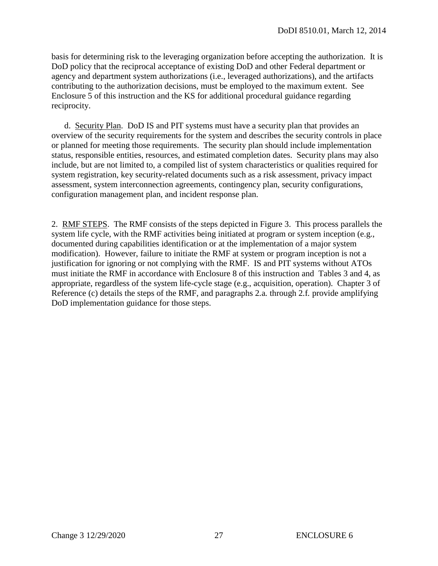basis for determining risk to the leveraging organization before accepting the authorization. It is DoD policy that the reciprocal acceptance of existing DoD and other Federal department or agency and department system authorizations (i.e., leveraged authorizations), and the artifacts contributing to the authorization decisions, must be employed to the maximum extent. See Enclosure 5 of this instruction and the KS for additional procedural guidance regarding reciprocity.

 d. Security Plan. DoD IS and PIT systems must have a security plan that provides an overview of the security requirements for the system and describes the security controls in place or planned for meeting those requirements. The security plan should include implementation status, responsible entities, resources, and estimated completion dates. Security plans may also include, but are not limited to, a compiled list of system characteristics or qualities required for system registration, key security-related documents such as a risk assessment, privacy impact assessment, system interconnection agreements, contingency plan, security configurations, configuration management plan, and incident response plan.

2. RMF STEPS. The RMF consists of the steps depicted in Figure 3. This process parallels the system life cycle, with the RMF activities being initiated at program or system inception (e.g., documented during capabilities identification or at the implementation of a major system modification). However, failure to initiate the RMF at system or program inception is not a justification for ignoring or not complying with the RMF. IS and PIT systems without ATOs must initiate the RMF in accordance with Enclosure 8 of this instruction and Tables 3 and 4, as appropriate, regardless of the system life-cycle stage (e.g., acquisition, operation). Chapter 3 of Reference (c) details the steps of the RMF, and paragraphs 2*.*a*.* through 2*.*f*.* provide amplifying DoD implementation guidance for those steps.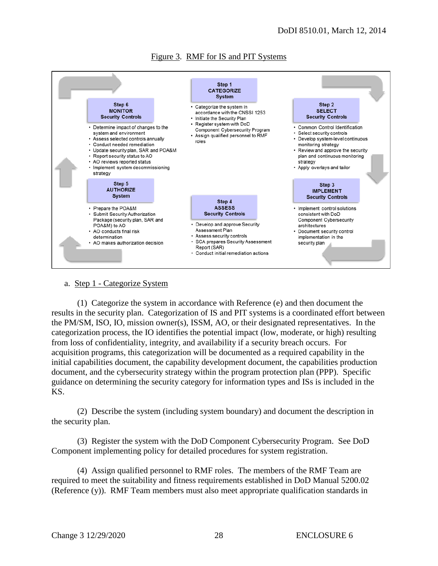

#### Figure 3. RMF for IS and PIT Systems

#### a. Step 1 - Categorize System

 (1) Categorize the system in accordance with Reference (e) and then document the results in the security plan. Categorization of IS and PIT systems is a coordinated effort between the PM/SM, ISO, IO, mission owner(s), ISSM, AO, or their designated representatives. In the categorization process, the IO identifies the potential impact (low, moderate, or high) resulting from loss of confidentiality, integrity, and availability if a security breach occurs. For acquisition programs, this categorization will be documented as a required capability in the initial capabilities document, the capability development document, the capabilities production document, and the cybersecurity strategy within the program protection plan (PPP). Specific guidance on determining the security category for information types and ISs is included in the KS.

 (2) Describe the system (including system boundary) and document the description in the security plan.

 (3) Register the system with the DoD Component Cybersecurity Program. See DoD Component implementing policy for detailed procedures for system registration.

 (4) Assign qualified personnel to RMF roles. The members of the RMF Team are required to meet the suitability and fitness requirements established in DoD Manual 5200.02 (Reference (y)). RMF Team members must also meet appropriate qualification standards in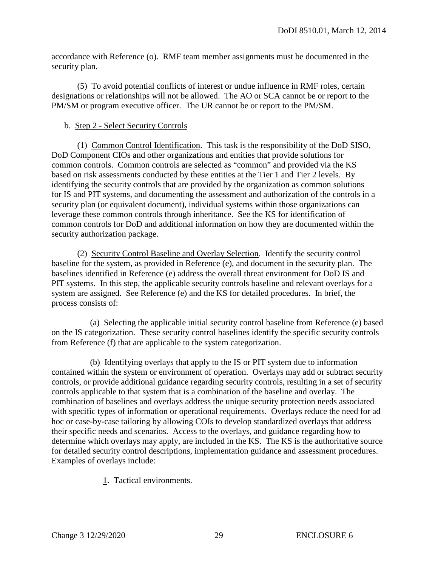accordance with Reference (o). RMF team member assignments must be documented in the security plan.

(5) To avoid potential conflicts of interest or undue influence in RMF roles, certain designations or relationships will not be allowed. The AO or SCA cannot be or report to the PM/SM or program executive officer. The UR cannot be or report to the PM/SM.

#### b. Step 2 - Select Security Controls

 (1) Common Control Identification. This task is the responsibility of the DoD SISO, DoD Component CIOs and other organizations and entities that provide solutions for common controls. Common controls are selected as "common" and provided via the KS based on risk assessments conducted by these entities at the Tier 1 and Tier 2 levels. By identifying the security controls that are provided by the organization as common solutions for IS and PIT systems, and documenting the assessment and authorization of the controls in a security plan (or equivalent document), individual systems within those organizations can leverage these common controls through inheritance. See the KS for identification of common controls for DoD and additional information on how they are documented within the security authorization package.

 (2) Security Control Baseline and Overlay Selection. Identify the security control baseline for the system, as provided in Reference (e), and document in the security plan. The baselines identified in Reference (e) address the overall threat environment for DoD IS and PIT systems. In this step, the applicable security controls baseline and relevant overlays for a system are assigned. See Reference (e) and the KS for detailed procedures. In brief, the process consists of:

 (a) Selecting the applicable initial security control baseline from Reference (e) based on the IS categorization. These security control baselines identify the specific security controls from Reference (f) that are applicable to the system categorization.

 (b) Identifying overlays that apply to the IS or PIT system due to information contained within the system or environment of operation. Overlays may add or subtract security controls, or provide additional guidance regarding security controls, resulting in a set of security controls applicable to that system that is a combination of the baseline and overlay. The combination of baselines and overlays address the unique security protection needs associated with specific types of information or operational requirements. Overlays reduce the need for ad hoc or case-by-case tailoring by allowing COIs to develop standardized overlays that address their specific needs and scenarios. Access to the overlays, and guidance regarding how to determine which overlays may apply, are included in the KS. The KS is the authoritative source for detailed security control descriptions, implementation guidance and assessment procedures. Examples of overlays include:

1. Tactical environments.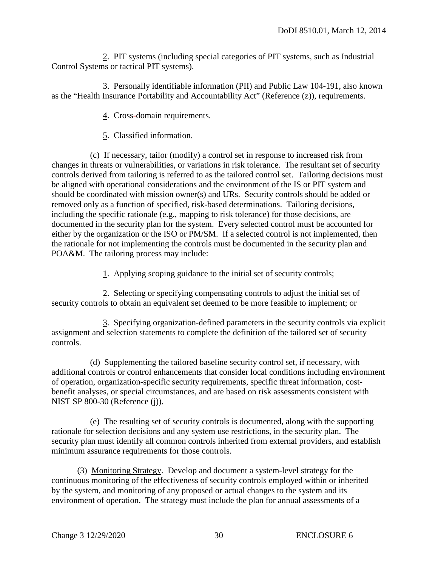2. PIT systems (including special categories of PIT systems, such as Industrial Control Systems or tactical PIT systems).

 3. Personally identifiable information (PII) and Public Law 104-191, also known as the "Health Insurance Portability and Accountability Act" (Reference (z)), requirements.

4. Cross*-*domain requirements.

5. Classified information.

 (c) If necessary, tailor (modify) a control set in response to increased risk from changes in threats or vulnerabilities, or variations in risk tolerance. The resultant set of security controls derived from tailoring is referred to as the tailored control set. Tailoring decisions must be aligned with operational considerations and the environment of the IS or PIT system and should be coordinated with mission owner(s) and URs. Security controls should be added or removed only as a function of specified, risk-based determinations. Tailoring decisions, including the specific rationale (e.g., mapping to risk tolerance) for those decisions, are documented in the security plan for the system. Every selected control must be accounted for either by the organization or the ISO or PM/SM. If a selected control is not implemented, then the rationale for not implementing the controls must be documented in the security plan and POA&M. The tailoring process may include:

1. Applying scoping guidance to the initial set of security controls;

 2. Selecting or specifying compensating controls to adjust the initial set of security controls to obtain an equivalent set deemed to be more feasible to implement; or

 3. Specifying organization-defined parameters in the security controls via explicit assignment and selection statements to complete the definition of the tailored set of security controls.

 (d) Supplementing the tailored baseline security control set, if necessary, with additional controls or control enhancements that consider local conditions including environment of operation, organization-specific security requirements, specific threat information, costbenefit analyses, or special circumstances, and are based on risk assessments consistent with NIST SP 800-30 (Reference (j)).

 (e) The resulting set of security controls is documented, along with the supporting rationale for selection decisions and any system use restrictions, in the security plan. The security plan must identify all common controls inherited from external providers, and establish minimum assurance requirements for those controls.

 (3) Monitoring Strategy. Develop and document a system-level strategy for the continuous monitoring of the effectiveness of security controls employed within or inherited by the system, and monitoring of any proposed or actual changes to the system and its environment of operation. The strategy must include the plan for annual assessments of a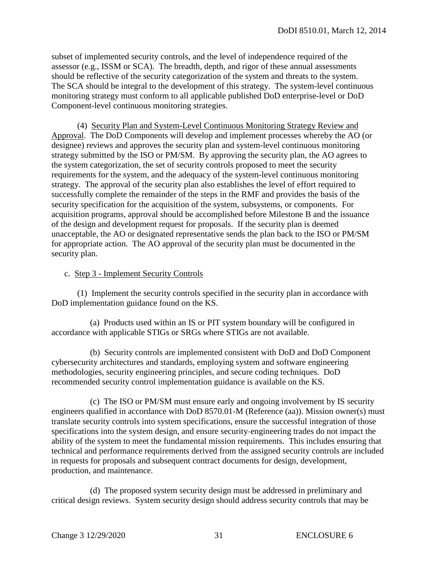subset of implemented security controls, and the level of independence required of the assessor (e.g., ISSM or SCA). The breadth, depth, and rigor of these annual assessments should be reflective of the security categorization of the system and threats to the system. The SCA should be integral to the development of this strategy. The system-level continuous monitoring strategy must conform to all applicable published DoD enterprise-level or DoD Component-level continuous monitoring strategies.

 (4) Security Plan and System-Level Continuous Monitoring Strategy Review and Approval. The DoD Components will develop and implement processes whereby the AO (or designee) reviews and approves the security plan and system-level continuous monitoring strategy submitted by the ISO or PM/SM. By approving the security plan, the AO agrees to the system categorization, the set of security controls proposed to meet the security requirements for the system, and the adequacy of the system-level continuous monitoring strategy. The approval of the security plan also establishes the level of effort required to successfully complete the remainder of the steps in the RMF and provides the basis of the security specification for the acquisition of the system, subsystems, or components. For acquisition programs, approval should be accomplished before Milestone B and the issuance of the design and development request for proposals. If the security plan is deemed unacceptable, the AO or designated representative sends the plan back to the ISO or PM/SM for appropriate action. The AO approval of the security plan must be documented in the security plan.

#### c. Step 3 - Implement Security Controls

 (1) Implement the security controls specified in the security plan in accordance with DoD implementation guidance found on the KS.

 (a) Products used within an IS or PIT system boundary will be configured in accordance with applicable STIGs or SRGs where STIGs are not available.

(b) Security controls are implemented consistent with DoD and DoD Component cybersecurity architectures and standards, employing system and software engineering methodologies, security engineering principles, and secure coding techniques. DoD recommended security control implementation guidance is available on the KS.

 (c) The ISO or PM/SM must ensure early and ongoing involvement by IS security engineers qualified in accordance with DoD 8570.01-M (Reference (aa)). Mission owner(s) must translate security controls into system specifications, ensure the successful integration of those specifications into the system design, and ensure security*-*engineering trades do not impact the ability of the system to meet the fundamental mission requirements. This includes ensuring that technical and performance requirements derived from the assigned security controls are included in requests for proposals and subsequent contract documents for design, development, production, and maintenance.

 (d) The proposed system security design must be addressed in preliminary and critical design reviews. System security design should address security controls that may be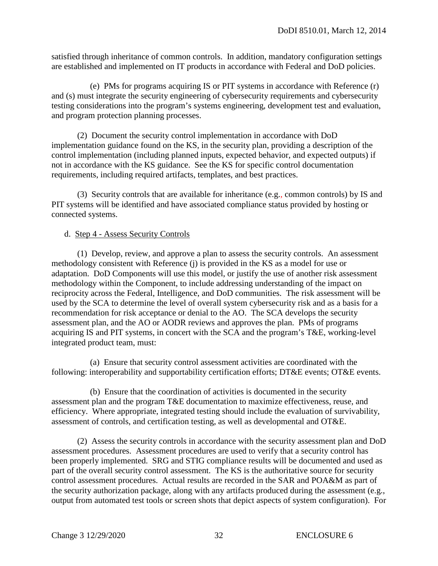satisfied through inheritance of common controls. In addition, mandatory configuration settings are established and implemented on IT products in accordance with Federal and DoD policies.

(e) PMs for programs acquiring IS or PIT systems in accordance with Reference (r) and (s) must integrate the security engineering of cybersecurity requirements and cybersecurity testing considerations into the program's systems engineering, development test and evaluation, and program protection planning processes.

 (2) Document the security control implementation in accordance with DoD implementation guidance found on the KS, in the security plan, providing a description of the control implementation (including planned inputs, expected behavior, and expected outputs) if not in accordance with the KS guidance. See the KS for specific control documentation requirements, including required artifacts, templates, and best practices.

 (3) Security controls that are available for inheritance (e.g.*,* common controls) by IS and PIT systems will be identified and have associated compliance status provided by hosting or connected systems.

#### d. Step 4 - Assess Security Controls

 (1) Develop, review, and approve a plan to assess the security controls. An assessment methodology consistent with Reference (j) is provided in the KS as a model for use or adaptation. DoD Components will use this model, or justify the use of another risk assessment methodology within the Component, to include addressing understanding of the impact on reciprocity across the Federal, Intelligence, and DoD communities. The risk assessment will be used by the SCA to determine the level of overall system cybersecurity risk and as a basis for a recommendation for risk acceptance or denial to the AO. The SCA develops the security assessment plan, and the AO or AODR reviews and approves the plan. PMs of programs acquiring IS and PIT systems, in concert with the SCA and the program's T&E, working-level integrated product team, must:

 (a) Ensure that security control assessment activities are coordinated with the following: interoperability and supportability certification efforts; DT&E events; OT&E events.

 (b) Ensure that the coordination of activities is documented in the security assessment plan and the program T&E documentation to maximize effectiveness, reuse, and efficiency. Where appropriate, integrated testing should include the evaluation of survivability, assessment of controls, and certification testing, as well as developmental and OT&E.

 (2) Assess the security controls in accordance with the security assessment plan and DoD assessment procedures. Assessment procedures are used to verify that a security control has been properly implemented. SRG and STIG compliance results will be documented and used as part of the overall security control assessment. The KS is the authoritative source for security control assessment procedures. Actual results are recorded in the SAR and POA&M as part of the security authorization package, along with any artifacts produced during the assessment (e.g., output from automated test tools or screen shots that depict aspects of system configuration). For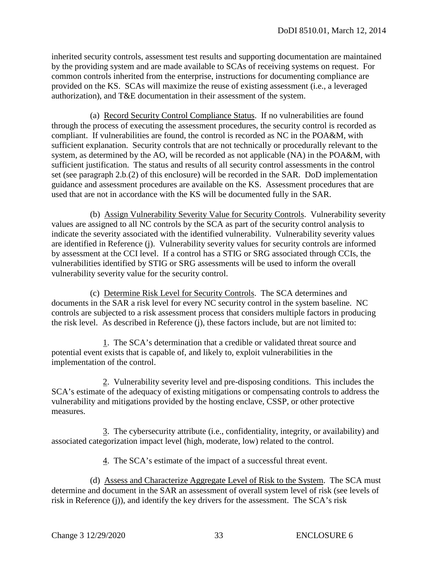inherited security controls, assessment test results and supporting documentation are maintained by the providing system and are made available to SCAs of receiving systems on request. For common controls inherited from the enterprise, instructions for documenting compliance are provided on the KS. SCAs will maximize the reuse of existing assessment (i.e., a leveraged authorization), and T&E documentation in their assessment of the system.

 (a) Record Security Control Compliance Status. If no vulnerabilities are found through the process of executing the assessment procedures, the security control is recorded as compliant. If vulnerabilities are found, the control is recorded as NC in the POA&M, with sufficient explanation. Security controls that are not technically or procedurally relevant to the system, as determined by the AO, will be recorded as not applicable (NA) in the POA&M, with sufficient justification. The status and results of all security control assessments in the control set (see paragraph 2.b*.*(2) of this enclosure) will be recorded in the SAR. DoD implementation guidance and assessment procedures are available on the KS. Assessment procedures that are used that are not in accordance with the KS will be documented fully in the SAR.

 (b) Assign Vulnerability Severity Value for Security Controls. Vulnerability severity values are assigned to all NC controls by the SCA as part of the security control analysis to indicate the severity associated with the identified vulnerability. Vulnerability severity values are identified in Reference (j). Vulnerability severity values for security controls are informed by assessment at the CCI level. If a control has a STIG or SRG associated through CCIs, the vulnerabilities identified by STIG or SRG assessments will be used to inform the overall vulnerability severity value for the security control.

 (c) Determine Risk Level for Security Controls. The SCA determines and documents in the SAR a risk level for every NC security control in the system baseline. NC controls are subjected to a risk assessment process that considers multiple factors in producing the risk level. As described in Reference (j), these factors include, but are not limited to:

 1. The SCA's determination that a credible or validated threat source and potential event exists that is capable of, and likely to, exploit vulnerabilities in the implementation of the control.

 2. Vulnerability severity level and pre-disposing conditions. This includes the SCA's estimate of the adequacy of existing mitigations or compensating controls to address the vulnerability and mitigations provided by the hosting enclave, CSSP, or other protective measures.

 3. The cybersecurity attribute (i.e., confidentiality, integrity, or availability) and associated categorization impact level (high, moderate, low) related to the control.

4. The SCA's estimate of the impact of a successful threat event.

 (d) Assess and Characterize Aggregate Level of Risk to the System. The SCA must determine and document in the SAR an assessment of overall system level of risk (see levels of risk in Reference (j)), and identify the key drivers for the assessment. The SCA's risk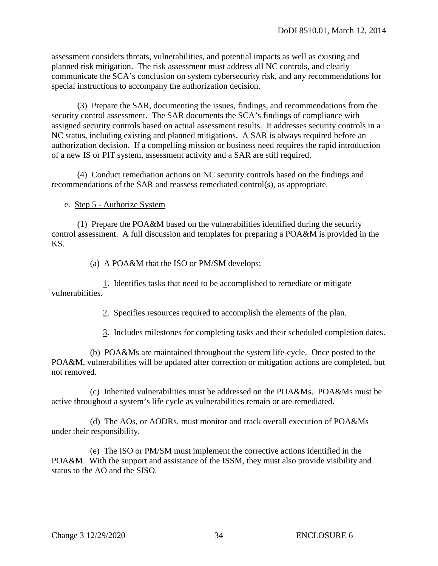assessment considers threats, vulnerabilities, and potential impacts as well as existing and planned risk mitigation. The risk assessment must address all NC controls, and clearly communicate the SCA's conclusion on system cybersecurity risk, and any recommendations for special instructions to accompany the authorization decision.

 (3) Prepare the SAR, documenting the issues, findings, and recommendations from the security control assessment. The SAR documents the SCA's findings of compliance with assigned security controls based on actual assessment results. It addresses security controls in a NC status, including existing and planned mitigations. A SAR is always required before an authorization decision. If a compelling mission or business need requires the rapid introduction of a new IS or PIT system, assessment activity and a SAR are still required.

 (4) Conduct remediation actions on NC security controls based on the findings and recommendations of the SAR and reassess remediated control(s), as appropriate.

e. Step 5 - Authorize System

 (1) Prepare the POA&M based on the vulnerabilities identified during the security control assessment. A full discussion and templates for preparing a POA&M is provided in the KS.

(a) A POA&M that the ISO or PM/SM develops:

 1. Identifies tasks that need to be accomplished to remediate or mitigate vulnerabilities.

2. Specifies resources required to accomplish the elements of the plan.

3. Includes milestones for completing tasks and their scheduled completion dates.

 (b) POA&Ms are maintained throughout the system life*-*cycle. Once posted to the POA&M, vulnerabilities will be updated after correction or mitigation actions are completed, but not removed.

 (c) Inherited vulnerabilities must be addressed on the POA&Ms. POA&Ms must be active throughout a system's life cycle as vulnerabilities remain or are remediated.

 (d) The AOs, or AODRs, must monitor and track overall execution of POA&Ms under their responsibility.

 (e) The ISO or PM/SM must implement the corrective actions identified in the POA&M. With the support and assistance of the ISSM, they must also provide visibility and status to the AO and the SISO.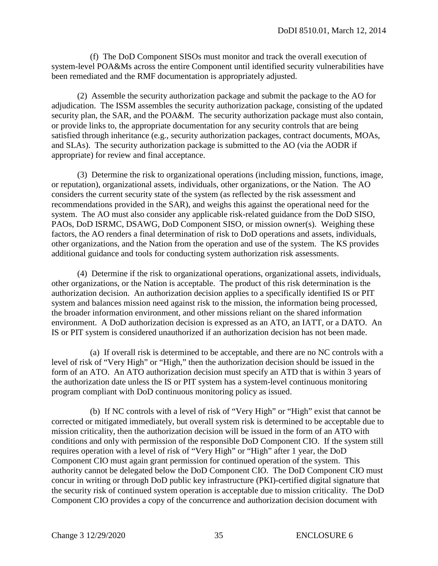(f) The DoD Component SISOs must monitor and track the overall execution of system-level POA&Ms across the entire Component until identified security vulnerabilities have been remediated and the RMF documentation is appropriately adjusted.

 (2) Assemble the security authorization package and submit the package to the AO for adjudication. The ISSM assembles the security authorization package, consisting of the updated security plan, the SAR, and the POA&M. The security authorization package must also contain, or provide links to, the appropriate documentation for any security controls that are being satisfied through inheritance (e.g., security authorization packages, contract documents, MOAs, and SLAs). The security authorization package is submitted to the AO (via the AODR if appropriate) for review and final acceptance.

 (3) Determine the risk to organizational operations (including mission, functions, image, or reputation), organizational assets, individuals, other organizations, or the Nation. The AO considers the current security state of the system (as reflected by the risk assessment and recommendations provided in the SAR), and weighs this against the operational need for the system. The AO must also consider any applicable risk-related guidance from the DoD SISO, PAOs, DoD ISRMC, DSAWG, DoD Component SISO, or mission owner(s). Weighing these factors, the AO renders a final determination of risk to DoD operations and assets, individuals, other organizations, and the Nation from the operation and use of the system. The KS provides additional guidance and tools for conducting system authorization risk assessments.

 (4) Determine if the risk to organizational operations, organizational assets, individuals, other organizations, or the Nation is acceptable. The product of this risk determination is the authorization decision. An authorization decision applies to a specifically identified IS or PIT system and balances mission need against risk to the mission, the information being processed, the broader information environment, and other missions reliant on the shared information environment. A DoD authorization decision is expressed as an ATO, an IATT, or a DATO. An IS or PIT system is considered unauthorized if an authorization decision has not been made.

 (a) If overall risk is determined to be acceptable, and there are no NC controls with a level of risk of "Very High" or "High," then the authorization decision should be issued in the form of an ATO. An ATO authorization decision must specify an ATD that is within 3 years of the authorization date unless the IS or PIT system has a system-level continuous monitoring program compliant with DoD continuous monitoring policy as issued.

 (b) If NC controls with a level of risk of "Very High" or "High" exist that cannot be corrected or mitigated immediately, but overall system risk is determined to be acceptable due to mission criticality, then the authorization decision will be issued in the form of an ATO with conditions and only with permission of the responsible DoD Component CIO. If the system still requires operation with a level of risk of "Very High" or "High" after 1 year, the DoD Component CIO must again grant permission for continued operation of the system. This authority cannot be delegated below the DoD Component CIO. The DoD Component CIO must concur in writing or through DoD public key infrastructure (PKI)-certified digital signature that the security risk of continued system operation is acceptable due to mission criticality. The DoD Component CIO provides a copy of the concurrence and authorization decision document with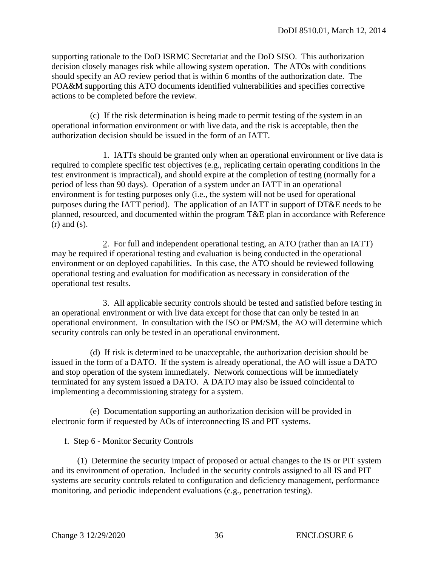supporting rationale to the DoD ISRMC Secretariat and the DoD SISO. This authorization decision closely manages risk while allowing system operation. The ATOs with conditions should specify an AO review period that is within 6 months of the authorization date. The POA&M supporting this ATO documents identified vulnerabilities and specifies corrective actions to be completed before the review.

 (c) If the risk determination is being made to permit testing of the system in an operational information environment or with live data, and the risk is acceptable, then the authorization decision should be issued in the form of an IATT.

 1. IATTs should be granted only when an operational environment or live data is required to complete specific test objectives (e.g., replicating certain operating conditions in the test environment is impractical), and should expire at the completion of testing (normally for a period of less than 90 days). Operation of a system under an IATT in an operational environment is for testing purposes only (i.e., the system will not be used for operational purposes during the IATT period). The application of an IATT in support of DT&E needs to be planned, resourced, and documented within the program T&E plan in accordance with Reference (r) and (s).

2. For full and independent operational testing, an ATO (rather than an IATT) may be required if operational testing and evaluation is being conducted in the operational environment or on deployed capabilities. In this case, the ATO should be reviewed following operational testing and evaluation for modification as necessary in consideration of the operational test results.

 3. All applicable security controls should be tested and satisfied before testing in an operational environment or with live data except for those that can only be tested in an operational environment. In consultation with the ISO or PM/SM, the AO will determine which security controls can only be tested in an operational environment.

 (d) If risk is determined to be unacceptable, the authorization decision should be issued in the form of a DATO. If the system is already operational, the AO will issue a DATO and stop operation of the system immediately. Network connections will be immediately terminated for any system issued a DATO. A DATO may also be issued coincidental to implementing a decommissioning strategy for a system.

 (e) Documentation supporting an authorization decision will be provided in electronic form if requested by AOs of interconnecting IS and PIT systems.

#### f. Step 6 - Monitor Security Controls

 (1) Determine the security impact of proposed or actual changes to the IS or PIT system and its environment of operation. Included in the security controls assigned to all IS and PIT systems are security controls related to configuration and deficiency management, performance monitoring, and periodic independent evaluations (e.g., penetration testing).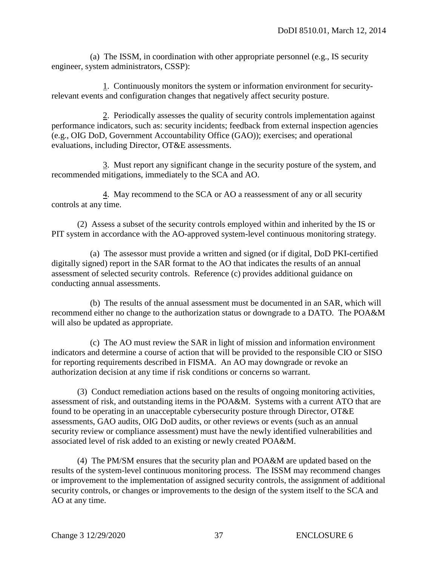(a) The ISSM, in coordination with other appropriate personnel (e.g., IS security engineer, system administrators, CSSP):

 1. Continuously monitors the system or information environment for securityrelevant events and configuration changes that negatively affect security posture.

 2. Periodically assesses the quality of security controls implementation against performance indicators, such as: security incidents; feedback from external inspection agencies (e.g., OIG DoD, Government Accountability Office (GAO)); exercises; and operational evaluations, including Director, OT&E assessments.

 3. Must report any significant change in the security posture of the system, and recommended mitigations, immediately to the SCA and AO.

 4. May recommend to the SCA or AO a reassessment of any or all security controls at any time.

 (2) Assess a subset of the security controls employed within and inherited by the IS or PIT system in accordance with the AO-approved system-level continuous monitoring strategy.

 (a) The assessor must provide a written and signed (or if digital, DoD PKI-certified digitally signed) report in the SAR format to the AO that indicates the results of an annual assessment of selected security controls. Reference (c) provides additional guidance on conducting annual assessments.

 (b) The results of the annual assessment must be documented in an SAR, which will recommend either no change to the authorization status or downgrade to a DATO. The POA&M will also be updated as appropriate.

 (c) The AO must review the SAR in light of mission and information environment indicators and determine a course of action that will be provided to the responsible CIO or SISO for reporting requirements described in FISMA. An AO may downgrade or revoke an authorization decision at any time if risk conditions or concerns so warrant.

 (3) Conduct remediation actions based on the results of ongoing monitoring activities, assessment of risk, and outstanding items in the POA&M. Systems with a current ATO that are found to be operating in an unacceptable cybersecurity posture through Director, OT&E assessments, GAO audits, OIG DoD audits, or other reviews or events (such as an annual security review or compliance assessment) must have the newly identified vulnerabilities and associated level of risk added to an existing or newly created POA&M.

 (4) The PM/SM ensures that the security plan and POA&M are updated based on the results of the system-level continuous monitoring process. The ISSM may recommend changes or improvement to the implementation of assigned security controls, the assignment of additional security controls, or changes or improvements to the design of the system itself to the SCA and AO at any time.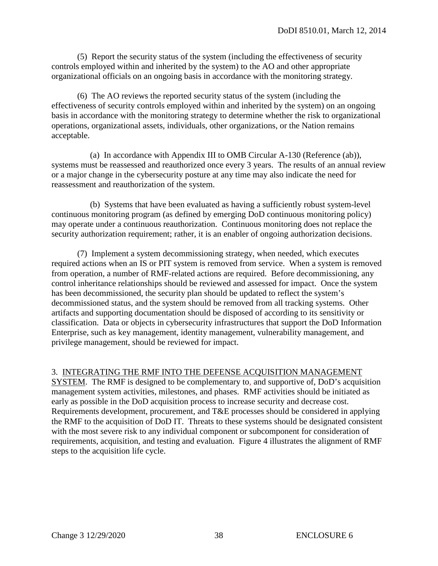(5) Report the security status of the system (including the effectiveness of security controls employed within and inherited by the system) to the AO and other appropriate organizational officials on an ongoing basis in accordance with the monitoring strategy.

 (6) The AO reviews the reported security status of the system (including the effectiveness of security controls employed within and inherited by the system) on an ongoing basis in accordance with the monitoring strategy to determine whether the risk to organizational operations, organizational assets, individuals, other organizations, or the Nation remains acceptable.

 (a) In accordance with Appendix III to OMB Circular A-130 (Reference (ab)), systems must be reassessed and reauthorized once every 3 years. The results of an annual review or a major change in the cybersecurity posture at any time may also indicate the need for reassessment and reauthorization of the system.

 (b) Systems that have been evaluated as having a sufficiently robust system-level continuous monitoring program (as defined by emerging DoD continuous monitoring policy) may operate under a continuous reauthorization. Continuous monitoring does not replace the security authorization requirement; rather, it is an enabler of ongoing authorization decisions.

 (7) Implement a system decommissioning strategy, when needed, which executes required actions when an IS or PIT system is removed from service. When a system is removed from operation, a number of RMF-related actions are required. Before decommissioning, any control inheritance relationships should be reviewed and assessed for impact. Once the system has been decommissioned, the security plan should be updated to reflect the system's decommissioned status, and the system should be removed from all tracking systems. Other artifacts and supporting documentation should be disposed of according to its sensitivity or classification. Data or objects in cybersecurity infrastructures that support the DoD Information Enterprise, such as key management, identity management, vulnerability management, and privilege management, should be reviewed for impact.

#### 3. INTEGRATING THE RMF INTO THE DEFENSE ACQUISITION MANAGEMENT

SYSTEM. The RMF is designed to be complementary to*,* and supportive of, DoD's acquisition management system activities, milestones, and phases. RMF activities should be initiated as early as possible in the DoD acquisition process to increase security and decrease cost. Requirements development, procurement, and T&E processes should be considered in applying the RMF to the acquisition of DoD IT. Threats to these systems should be designated consistent with the most severe risk to any individual component or subcomponent for consideration of requirements, acquisition, and testing and evaluation. Figure 4 illustrates the alignment of RMF steps to the acquisition life cycle.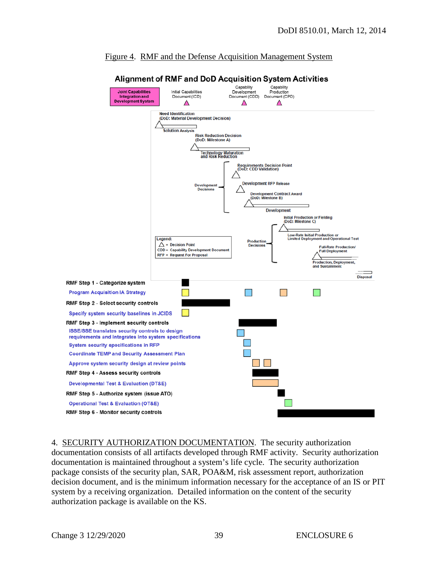

#### Figure 4. RMF and the Defense Acquisition Management System

4. SECURITY AUTHORIZATION DOCUMENTATION. The security authorization documentation consists of all artifacts developed through RMF activity. Security authorization documentation is maintained throughout a system's life cycle. The security authorization package consists of the security plan, SAR, POA&M, risk assessment report, authorization decision document, and is the minimum information necessary for the acceptance of an IS or PIT system by a receiving organization. Detailed information on the content of the security authorization package is available on the KS.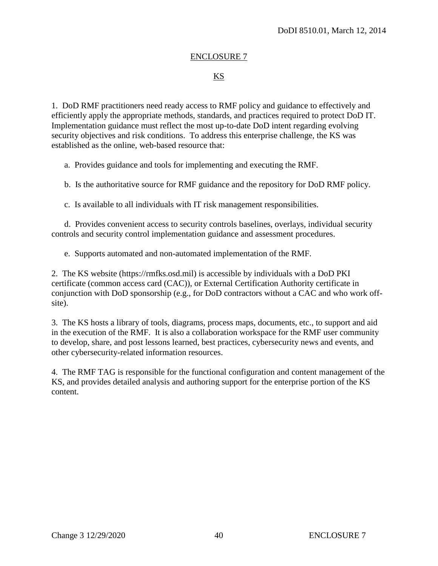#### ENCLOSURE 7

#### KS

1. DoD RMF practitioners need ready access to RMF policy and guidance to effectively and efficiently apply the appropriate methods, standards, and practices required to protect DoD IT. Implementation guidance must reflect the most up-to-date DoD intent regarding evolving security objectives and risk conditions. To address this enterprise challenge, the KS was established as the online, web-based resource that:

a. Provides guidance and tools for implementing and executing the RMF.

b. Is the authoritative source for RMF guidance and the repository for DoD RMF policy.

c. Is available to all individuals with IT risk management responsibilities.

 d. Provides convenient access to security controls baselines, overlays, individual security controls and security control implementation guidance and assessment procedures.

e. Supports automated and non-automated implementation of the RMF.

2. The KS website (https://rmfks.osd.mil) is accessible by individuals with a DoD PKI certificate (common access card (CAC)), or External Certification Authority certificate in conjunction with DoD sponsorship (e.g., for DoD contractors without a CAC and who work offsite).

3. The KS hosts a library of tools, diagrams, process maps, documents, etc., to support and aid in the execution of the RMF. It is also a collaboration workspace for the RMF user community to develop, share, and post lessons learned, best practices, cybersecurity news and events, and other cybersecurity-related information resources.

4. The RMF TAG is responsible for the functional configuration and content management of the KS, and provides detailed analysis and authoring support for the enterprise portion of the KS content.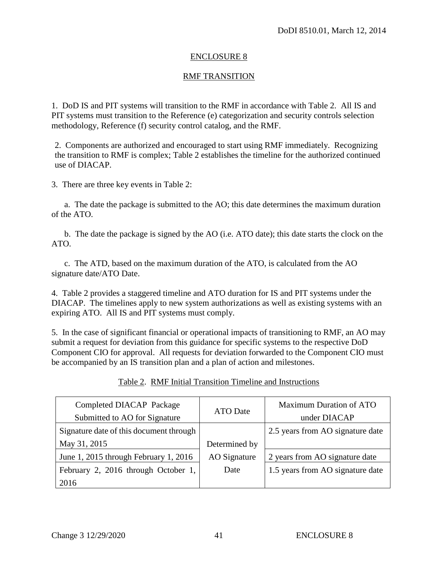#### ENCLOSURE 8

#### RMF TRANSITION

1. DoD IS and PIT systems will transition to the RMF in accordance with Table 2. All IS and PIT systems must transition to the Reference (e) categorization and security controls selection methodology, Reference (f) security control catalog, and the RMF.

2. Components are authorized and encouraged to start using RMF immediately. Recognizing the transition to RMF is complex; Table 2 establishes the timeline for the authorized continued use of DIACAP.

3. There are three key events in Table 2:

a. The date the package is submitted to the AO; this date determines the maximum duration of the ATO.

b. The date the package is signed by the AO (i.e. ATO date); this date starts the clock on the ATO.

c. The ATD, based on the maximum duration of the ATO, is calculated from the AO signature date/ATO Date.

4. Table 2 provides a staggered timeline and ATO duration for IS and PIT systems under the DIACAP. The timelines apply to new system authorizations as well as existing systems with an expiring ATO. All IS and PIT systems must comply.

5. In the case of significant financial or operational impacts of transitioning to RMF, an AO may submit a request for deviation from this guidance for specific systems to the respective DoD Component CIO for approval. All requests for deviation forwarded to the Component CIO must be accompanied by an IS transition plan and a plan of action and milestones.

| Completed DIACAP Package                |                 | <b>Maximum Duration of ATO</b>   |
|-----------------------------------------|-----------------|----------------------------------|
| Submitted to AO for Signature           | <b>ATO</b> Date | under DIACAP                     |
| Signature date of this document through |                 | 2.5 years from AO signature date |
| May 31, 2015                            | Determined by   |                                  |
| June 1, 2015 through February 1, 2016   | AO Signature    | 2 years from AO signature date   |
| February 2, 2016 through October 1,     | Date            | 1.5 years from AO signature date |
| 2016                                    |                 |                                  |

Table 2. RMF Initial Transition Timeline and Instructions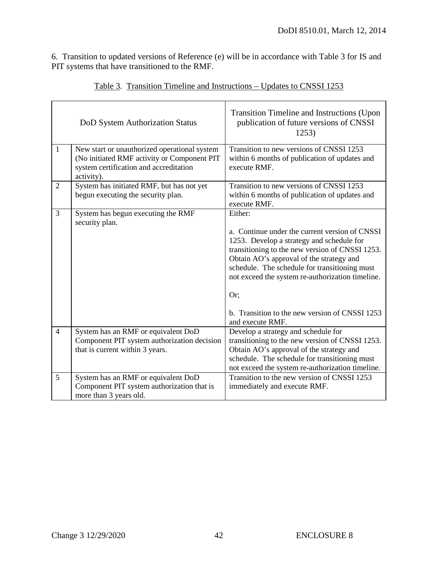6. Transition to updated versions of Reference (e) will be in accordance with Table 3 for IS and PIT systems that have transitioned to the RMF.

|                | DoD System Authorization Status                                                                                                                     | Transition Timeline and Instructions (Upon)<br>publication of future versions of CNSSI<br>1253)                                                                                                                                                                                                                                                                                         |
|----------------|-----------------------------------------------------------------------------------------------------------------------------------------------------|-----------------------------------------------------------------------------------------------------------------------------------------------------------------------------------------------------------------------------------------------------------------------------------------------------------------------------------------------------------------------------------------|
| $\mathbf{1}$   | New start or unauthorized operational system<br>(No initiated RMF activity or Component PIT<br>system certification and accreditation<br>activity). | Transition to new versions of CNSSI 1253<br>within 6 months of publication of updates and<br>execute RMF.                                                                                                                                                                                                                                                                               |
| 2              | System has initiated RMF, but has not yet<br>begun executing the security plan.                                                                     | Transition to new versions of CNSSI 1253<br>within 6 months of publication of updates and<br>execute RMF.                                                                                                                                                                                                                                                                               |
| 3              | System has begun executing the RMF<br>security plan.                                                                                                | Either:<br>a. Continue under the current version of CNSSI<br>1253. Develop a strategy and schedule for<br>transitioning to the new version of CNSSI 1253.<br>Obtain AO's approval of the strategy and<br>schedule. The schedule for transitioning must<br>not exceed the system re-authorization timeline.<br>Or;<br>b. Transition to the new version of CNSSI 1253<br>and execute RMF. |
| $\overline{4}$ | System has an RMF or equivalent DoD<br>Component PIT system authorization decision<br>that is current within 3 years.                               | Develop a strategy and schedule for<br>transitioning to the new version of CNSSI 1253.<br>Obtain AO's approval of the strategy and<br>schedule. The schedule for transitioning must<br>not exceed the system re-authorization timeline.                                                                                                                                                 |
| 5              | System has an RMF or equivalent DoD<br>Component PIT system authorization that is<br>more than 3 years old.                                         | Transition to the new version of CNSSI 1253<br>immediately and execute RMF.                                                                                                                                                                                                                                                                                                             |

|--|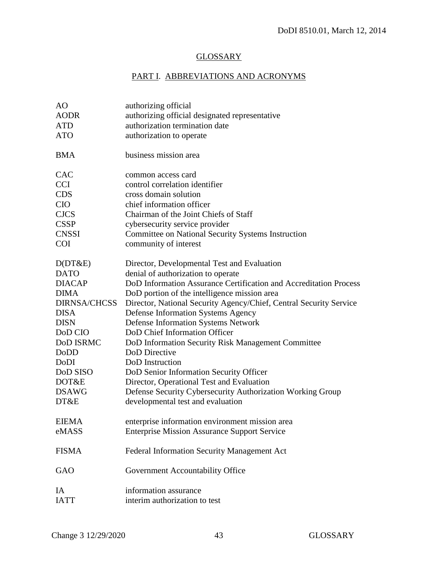### **GLOSSARY**

# PART I. ABBREVIATIONS AND ACRONYMS

| authorizing official                                               |
|--------------------------------------------------------------------|
| authorizing official designated representative                     |
| authorization termination date                                     |
| authorization to operate                                           |
| business mission area                                              |
| common access card                                                 |
| control correlation identifier                                     |
| cross domain solution                                              |
| chief information officer                                          |
| Chairman of the Joint Chiefs of Staff                              |
| cybersecurity service provider                                     |
| Committee on National Security Systems Instruction                 |
| community of interest                                              |
| Director, Developmental Test and Evaluation                        |
| denial of authorization to operate                                 |
| DoD Information Assurance Certification and Accreditation Process  |
| DoD portion of the intelligence mission area                       |
| Director, National Security Agency/Chief, Central Security Service |
| <b>Defense Information Systems Agency</b>                          |
| <b>Defense Information Systems Network</b>                         |
| DoD Chief Information Officer                                      |
| DoD Information Security Risk Management Committee                 |
| <b>DoD</b> Directive                                               |
| DoD Instruction                                                    |
| DoD Senior Information Security Officer                            |
| Director, Operational Test and Evaluation                          |
| Defense Security Cybersecurity Authorization Working Group         |
| developmental test and evaluation                                  |
| enterprise information environment mission area                    |
| <b>Enterprise Mission Assurance Support Service</b>                |
| Federal Information Security Management Act                        |
| Government Accountability Office                                   |
| information assurance                                              |
| interim authorization to test                                      |
|                                                                    |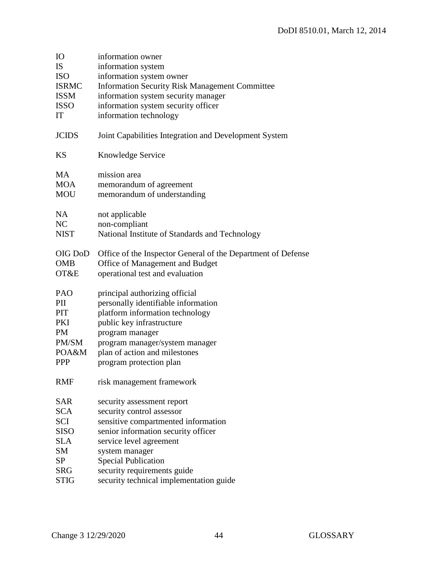| <b>IO</b>    | information owner                                            |
|--------------|--------------------------------------------------------------|
| <b>IS</b>    | information system                                           |
| <b>ISO</b>   | information system owner                                     |
| <b>ISRMC</b> | <b>Information Security Risk Management Committee</b>        |
| <b>ISSM</b>  | information system security manager                          |
| <b>ISSO</b>  | information system security officer                          |
| IT           | information technology                                       |
| <b>JCIDS</b> | Joint Capabilities Integration and Development System        |
| KS           | Knowledge Service                                            |
| <b>MA</b>    | mission area                                                 |
| <b>MOA</b>   | memorandum of agreement                                      |
| <b>MOU</b>   | memorandum of understanding                                  |
| NA           | not applicable                                               |
| NC           | non-compliant                                                |
| <b>NIST</b>  | National Institute of Standards and Technology               |
|              |                                                              |
| OIG DoD      | Office of the Inspector General of the Department of Defense |
| <b>OMB</b>   | Office of Management and Budget                              |
| OT&E         | operational test and evaluation                              |
| PAO          | principal authorizing official                               |
| PII          | personally identifiable information                          |
| PIT          | platform information technology                              |
| <b>PKI</b>   | public key infrastructure                                    |
| <b>PM</b>    | program manager                                              |
| PM/SM        | program manager/system manager                               |
| POA&M        | plan of action and milestones                                |
| <b>PPP</b>   | program protection plan                                      |
| <b>RMF</b>   | risk management framework                                    |
| <b>SAR</b>   | security assessment report                                   |
| <b>SCA</b>   | security control assessor                                    |
| <b>SCI</b>   | sensitive compartmented information                          |
| <b>SISO</b>  | senior information security officer                          |
| <b>SLA</b>   | service level agreement                                      |
| <b>SM</b>    | system manager                                               |
| SP           | <b>Special Publication</b>                                   |
| <b>SRG</b>   | security requirements guide                                  |
| <b>STIG</b>  | security technical implementation guide                      |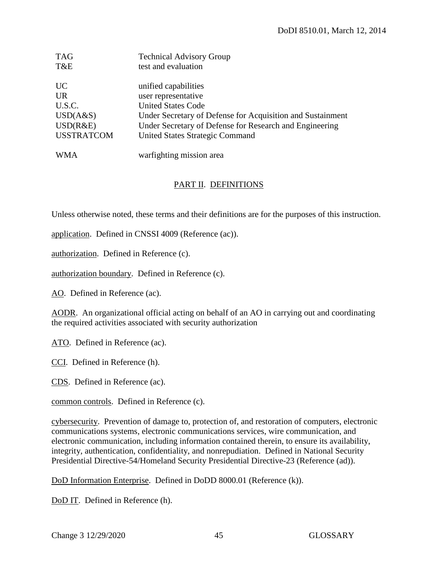| <b>TAG</b>        | <b>Technical Advisory Group</b>                            |
|-------------------|------------------------------------------------------------|
| T&E               | test and evaluation                                        |
| <b>UC</b>         |                                                            |
|                   | unified capabilities                                       |
| <b>UR</b>         | user representative                                        |
| U.S.C.            | <b>United States Code</b>                                  |
| USD(A&S)          | Under Secretary of Defense for Acquisition and Sustainment |
| USD(R&E)          | Under Secretary of Defense for Research and Engineering    |
| <b>USSTRATCOM</b> | United States Strategic Command                            |
|                   |                                                            |
| <b>WMA</b>        | warfighting mission area                                   |

#### PART II. DEFINITIONS

Unless otherwise noted, these terms and their definitions are for the purposes of this instruction.

application. Defined in CNSSI 4009 (Reference (ac)).

authorization. Defined in Reference (c).

authorization boundary. Defined in Reference (c).

AO. Defined in Reference (ac).

AODR. An organizational official acting on behalf of an AO in carrying out and coordinating the required activities associated with security authorization

ATO. Defined in Reference (ac).

CCI. Defined in Reference (h).

CDS. Defined in Reference (ac).

common controls. Defined in Reference (c).

cybersecurity. Prevention of damage to, protection of, and restoration of computers, electronic communications systems, electronic communications services, wire communication, and electronic communication, including information contained therein, to ensure its availability, integrity, authentication, confidentiality, and nonrepudiation. Defined in National Security Presidential Directive-54/Homeland Security Presidential Directive-23 (Reference (ad)).

DoD Information Enterprise. Defined in DoDD 8000.01 (Reference (k)).

DoD IT. Defined in Reference (h).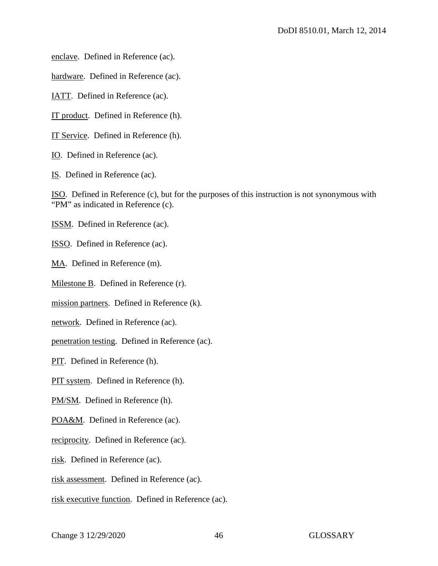enclave. Defined in Reference (ac).

hardware. Defined in Reference (ac).

IATT. Defined in Reference (ac).

IT product. Defined in Reference (h).

IT Service. Defined in Reference (h).

IO. Defined in Reference (ac).

IS. Defined in Reference (ac).

ISO. Defined in Reference (c), but for the purposes of this instruction is not synonymous with "PM" as indicated in Reference (c).

ISSM. Defined in Reference (ac).

ISSO. Defined in Reference (ac).

MA. Defined in Reference (m).

Milestone B. Defined in Reference (r).

mission partners. Defined in Reference (k).

network. Defined in Reference (ac).

penetration testing. Defined in Reference (ac).

PIT. Defined in Reference (h).

PIT system. Defined in Reference (h).

PM/SM. Defined in Reference (h).

POA&M. Defined in Reference (ac).

reciprocity. Defined in Reference (ac).

risk. Defined in Reference (ac).

risk assessment. Defined in Reference (ac).

risk executive function. Defined in Reference (ac).